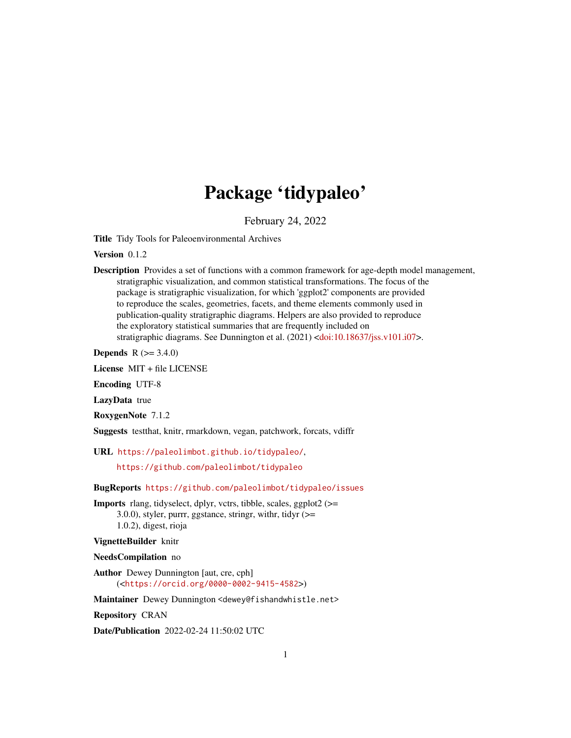# Package 'tidypaleo'

February 24, 2022

<span id="page-0-0"></span>Title Tidy Tools for Paleoenvironmental Archives

Version 0.1.2

Description Provides a set of functions with a common framework for age-depth model management, stratigraphic visualization, and common statistical transformations. The focus of the package is stratigraphic visualization, for which 'ggplot2' components are provided to reproduce the scales, geometries, facets, and theme elements commonly used in publication-quality stratigraphic diagrams. Helpers are also provided to reproduce the exploratory statistical summaries that are frequently included on stratigraphic diagrams. See Dunnington et al. (2021) [<doi:10.18637/jss.v101.i07>](https://doi.org/10.18637/jss.v101.i07).

**Depends**  $R (= 3.4.0)$ 

License MIT + file LICENSE

Encoding UTF-8

LazyData true

RoxygenNote 7.1.2

Suggests testthat, knitr, rmarkdown, vegan, patchwork, forcats, vdiffr

URL <https://paleolimbot.github.io/tidypaleo/>,

<https://github.com/paleolimbot/tidypaleo>

BugReports <https://github.com/paleolimbot/tidypaleo/issues>

Imports rlang, tidyselect, dplyr, vctrs, tibble, scales, ggplot2 (>= 3.0.0), styler, purrr, ggstance, stringr, with r, tidyr  $(>=$ 1.0.2), digest, rioja

VignetteBuilder knitr

NeedsCompilation no

Author Dewey Dunnington [aut, cre, cph] (<<https://orcid.org/0000-0002-9415-4582>>)

Maintainer Dewey Dunnington <dewey@fishandwhistle.net>

Repository CRAN

Date/Publication 2022-02-24 11:50:02 UTC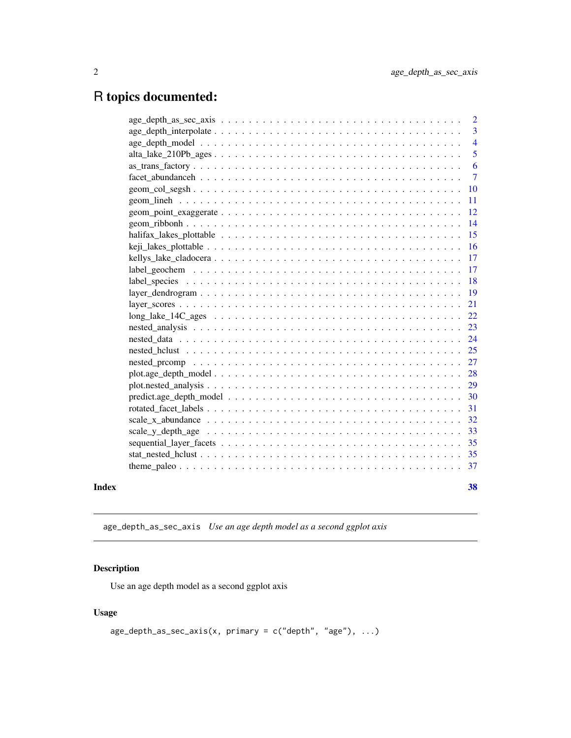## <span id="page-1-0"></span>R topics documented:

|       |                                                                                                                | $\overline{2}$ |
|-------|----------------------------------------------------------------------------------------------------------------|----------------|
|       |                                                                                                                | 3              |
|       |                                                                                                                | $\overline{4}$ |
|       |                                                                                                                | 5              |
|       |                                                                                                                | 6              |
|       |                                                                                                                | $\overline{7}$ |
|       |                                                                                                                | 10             |
|       |                                                                                                                | 11             |
|       |                                                                                                                | 12             |
|       |                                                                                                                | 14             |
|       |                                                                                                                | 15             |
|       |                                                                                                                | 16             |
|       |                                                                                                                | 17             |
|       |                                                                                                                | 17             |
|       |                                                                                                                | 18             |
|       | $layer\_dendrogram \ldots \ldots \ldots \ldots \ldots \ldots \ldots \ldots \ldots \ldots \ldots \ldots \ldots$ | 19             |
|       |                                                                                                                | 21             |
|       |                                                                                                                | 22             |
|       |                                                                                                                | 23             |
|       |                                                                                                                | 24             |
|       |                                                                                                                | 25             |
|       |                                                                                                                | 27             |
|       |                                                                                                                | 28             |
|       |                                                                                                                | 29             |
|       | $predict. age\_depth\_model \dots \dots \dots \dots \dots \dots \dots \dots \dots \dots \dots \dots \dots$     | 30             |
|       |                                                                                                                | 31             |
|       |                                                                                                                | 32             |
|       |                                                                                                                | 33             |
|       |                                                                                                                | 35             |
|       |                                                                                                                | 35             |
|       |                                                                                                                | 37             |
| Index |                                                                                                                | 38             |
|       |                                                                                                                |                |

age\_depth\_as\_sec\_axis *Use an age depth model as a second ggplot axis*

#### Description

Use an age depth model as a second ggplot axis

```
age\_depth\_as\_sec\_axis(x, primary = c("depth", "age"), ...)
```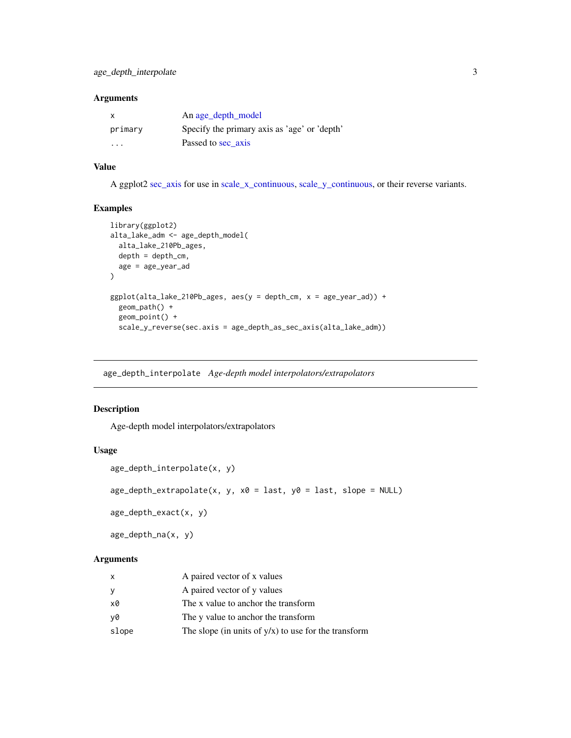<span id="page-2-0"></span>

| x       | An age_depth_model                           |
|---------|----------------------------------------------|
| primary | Specify the primary axis as 'age' or 'depth' |
| $\cdot$ | Passed to sec axis                           |

#### Value

A ggplot2 [sec\\_axis](#page-0-0) for use in [scale\\_x\\_continuous,](#page-0-0) [scale\\_y\\_continuous,](#page-0-0) or their reverse variants.

#### Examples

```
library(ggplot2)
alta_lake_adm <- age_depth_model(
  alta_lake_210Pb_ages,
  depth = depth_cm,
  age = age_year_ad
\mathcal{L}ggplot(alta_lake_210Pb_ages, aes(y = depth_cm, x = age_year_ad)) +
  geom_path() +
  geom_point() +
  scale_y_reverse(sec.axis = age_depth_as_sec_axis(alta_lake_adm))
```
age\_depth\_interpolate *Age-depth model interpolators/extrapolators*

#### Description

Age-depth model interpolators/extrapolators

#### Usage

```
age_depth_interpolate(x, y)
age\_depth\_extrapolate(x, y, x0 = last, y0 = last, slope = NULL)age_depth_exact(x, y)
age_depth_na(x, y)
```
#### Arguments

| X     | A paired vector of x values                             |
|-------|---------------------------------------------------------|
| y     | A paired vector of y values                             |
| x0    | The x value to anchor the transform                     |
| v0    | The y value to anchor the transform                     |
| slope | The slope (in units of $y/x$ ) to use for the transform |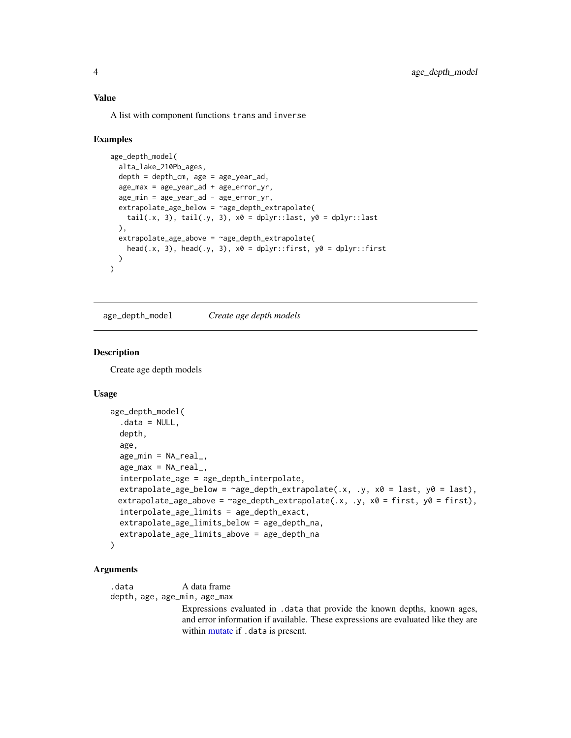#### <span id="page-3-0"></span>Value

A list with component functions trans and inverse

#### Examples

```
age_depth_model(
 alta_lake_210Pb_ages,
 depth = depth\_cm, age = age\_year\_ad,
 age_max = age_year_ad + age_error_yr,
 age_min = age_year_ad - age_error_yr,
 extrapolate_age_below = ~age_depth_extrapolate(
   tail(.x, 3), tail(.y, 3), x0 =dplyr::last, y0 =dplyr::last
 ),
 extrapolate_age_above = ~age_depth_extrapolate(
   head(.x, 3), head(.y, 3), x0 = \text{dplyr::first}, y0 = \text{dplyr::first})
\lambda
```
<span id="page-3-1"></span>age\_depth\_model *Create age depth models*

#### **Description**

Create age depth models

#### Usage

```
age_depth_model(
  data = NULL,depth,
  age,
  age\_min = NA\_real_age\_max = NA\_real_interpolate_age = age_depth_interpolate,
  extrapolate_age_below = \text{age\_depth\_extrapolate}(x, y, x0 = last, y0 = last),
 extrapolate_age_above = \lnotage_depth_extrapolate(.x, .y, x0 = first, y0 = first),
  interpolate_age_limits = age_depth_exact,
  extrapolate_age_limits_below = age_depth_na,
  extrapolate_age_limits_above = age_depth_na
\lambda
```
#### Arguments

.data A data frame depth, age, age\_min, age\_max

> Expressions evaluated in .data that provide the known depths, known ages, and error information if available. These expressions are evaluated like they are within [mutate](#page-0-0) if . data is present.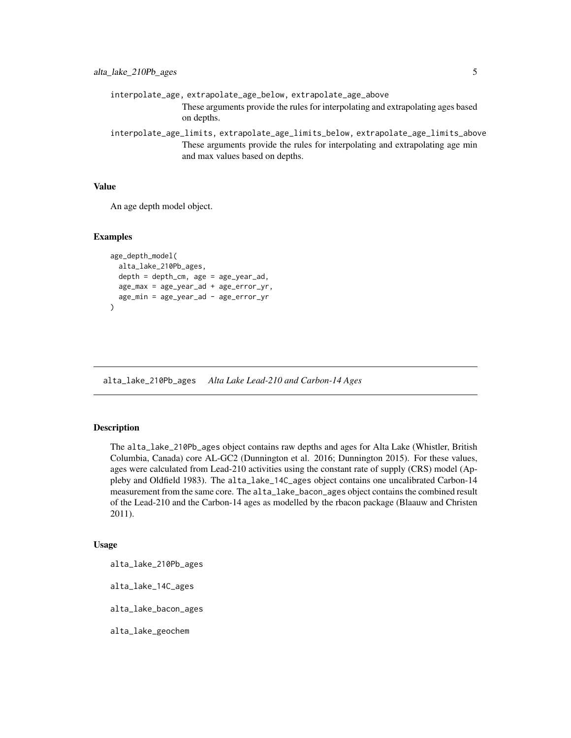```
interpolate_age, extrapolate_age_below, extrapolate_age_above
                These arguments provide the rules for interpolating and extrapolating ages based
                on depths.
interpolate_age_limits, extrapolate_age_limits_below, extrapolate_age_limits_above
```
These arguments provide the rules for interpolating and extrapolating age min and max values based on depths.

#### Value

An age depth model object.

#### Examples

```
age_depth_model(
  alta_lake_210Pb_ages,
  depth = depth_cm, age = age_year_ad,
  age_max = age_year_ad + age_error_yr,
  age_min = age_year_ad - age_error_yr
\mathcal{L}
```
alta\_lake\_210Pb\_ages *Alta Lake Lead-210 and Carbon-14 Ages*

#### **Description**

The alta\_lake\_210Pb\_ages object contains raw depths and ages for Alta Lake (Whistler, British Columbia, Canada) core AL-GC2 (Dunnington et al. 2016; Dunnington 2015). For these values, ages were calculated from Lead-210 activities using the constant rate of supply (CRS) model (Appleby and Oldfield 1983). The alta\_lake\_14C\_ages object contains one uncalibrated Carbon-14 measurement from the same core. The alta\_lake\_bacon\_ages object contains the combined result of the Lead-210 and the Carbon-14 ages as modelled by the rbacon package (Blaauw and Christen 2011).

#### Usage

alta\_lake\_210Pb\_ages

alta\_lake\_14C\_ages

alta\_lake\_bacon\_ages

alta\_lake\_geochem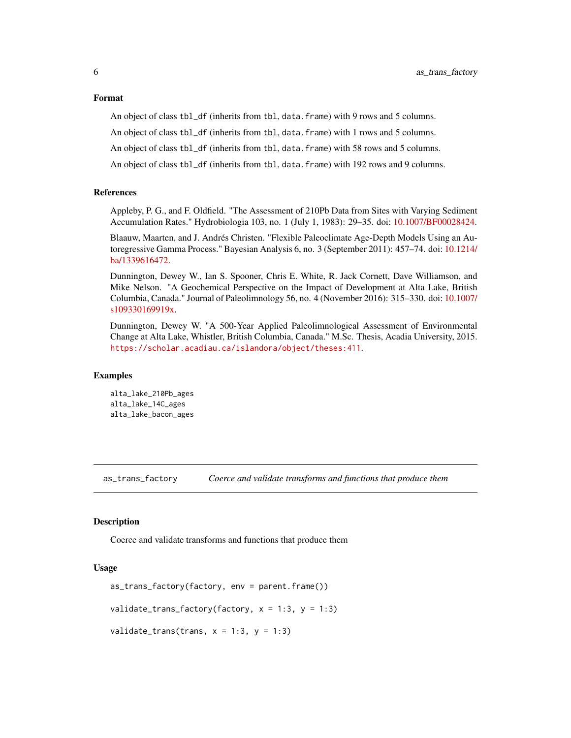#### <span id="page-5-0"></span>Format

An object of class tbl\_df (inherits from tbl, data.frame) with 9 rows and 5 columns.

An object of class tbl\_df (inherits from tbl, data.frame) with 1 rows and 5 columns.

An object of class tbl\_df (inherits from tbl, data.frame) with 58 rows and 5 columns.

An object of class tbl\_df (inherits from tbl, data.frame) with 192 rows and 9 columns.

#### References

Appleby, P. G., and F. Oldfield. "The Assessment of 210Pb Data from Sites with Varying Sediment Accumulation Rates." Hydrobiologia 103, no. 1 (July 1, 1983): 29–35. doi: [10.1007/BF00028424.](https://doi.org/10.1007/BF00028424)

Blaauw, Maarten, and J. Andrés Christen. "Flexible Paleoclimate Age-Depth Models Using an Autoregressive Gamma Process." Bayesian Analysis 6, no. 3 (September 2011): 457–74. doi: [10.1214/](https://doi.org/10.1214/ba/1339616472) [ba/1339616472.](https://doi.org/10.1214/ba/1339616472)

Dunnington, Dewey W., Ian S. Spooner, Chris E. White, R. Jack Cornett, Dave Williamson, and Mike Nelson. "A Geochemical Perspective on the Impact of Development at Alta Lake, British Columbia, Canada." Journal of Paleolimnology 56, no. 4 (November 2016): 315–330. doi: [10.1007/](https://doi.org/10.1007/s10933-016-9919-x) [s109330169919x.](https://doi.org/10.1007/s10933-016-9919-x)

Dunnington, Dewey W. "A 500-Year Applied Paleolimnological Assessment of Environmental Change at Alta Lake, Whistler, British Columbia, Canada." M.Sc. Thesis, Acadia University, 2015. <https://scholar.acadiau.ca/islandora/object/theses:411>.

#### Examples

alta\_lake\_210Pb\_ages alta\_lake\_14C\_ages alta\_lake\_bacon\_ages

as\_trans\_factory *Coerce and validate transforms and functions that produce them*

#### Description

Coerce and validate transforms and functions that produce them

```
as_trans_factory(factory, env = parent.frame())
validate_trans_factory(factory, x = 1:3, y = 1:3)
validate_trans(trans, x = 1:3, y = 1:3)
```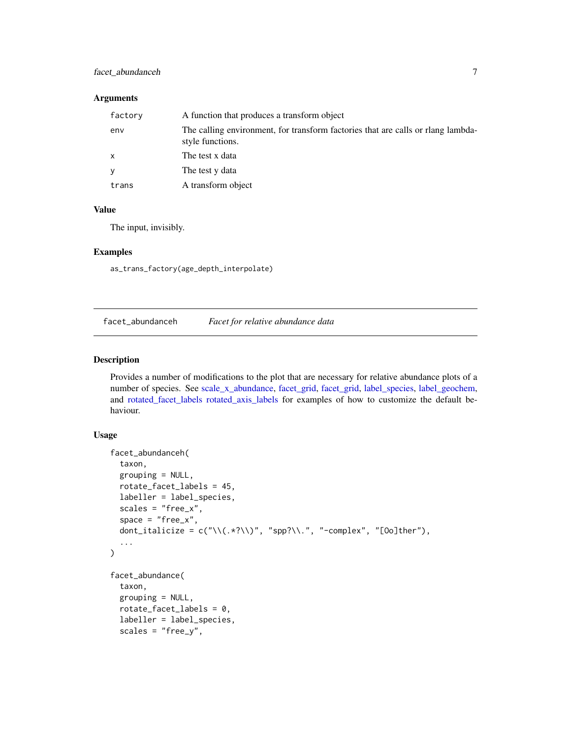#### <span id="page-6-0"></span>facet\_abundanceh 7

#### Arguments

| factory      | A function that produces a transform object                                                          |
|--------------|------------------------------------------------------------------------------------------------------|
| env          | The calling environment, for transform factories that are calls or rlang lambda-<br>style functions. |
| $\mathsf{x}$ | The test x data                                                                                      |
| <b>V</b>     | The test y data                                                                                      |
| trans        | A transform object                                                                                   |

#### Value

The input, invisibly.

#### Examples

as\_trans\_factory(age\_depth\_interpolate)

facet\_abundanceh *Facet for relative abundance data*

#### Description

Provides a number of modifications to the plot that are necessary for relative abundance plots of a number of species. See [scale\\_x\\_abundance,](#page-31-1) [facet\\_grid,](#page-0-0) [facet\\_grid,](#page-0-0) [label\\_species,](#page-17-1) [label\\_geochem,](#page-16-1) and [rotated\\_facet\\_labels](#page-30-1) [rotated\\_axis\\_labels](#page-30-2) for examples of how to customize the default behaviour.

```
facet_abundanceh(
  taxon,
  grouping = NULL,
  rotate_facet_labels = 45,
  labeller = label_species,
  scales = "free_x",space = "free_x",dont_italicize = c(" \\\(<math>\times</math> ? \\\)", "spp? \\\|.", "-complex", "[0o]ther"),...
)
facet_abundance(
  taxon,
  grouping = NULL,rotate\_facet\_labels = 0,labeller = label_species,
  scales = "free_y",
```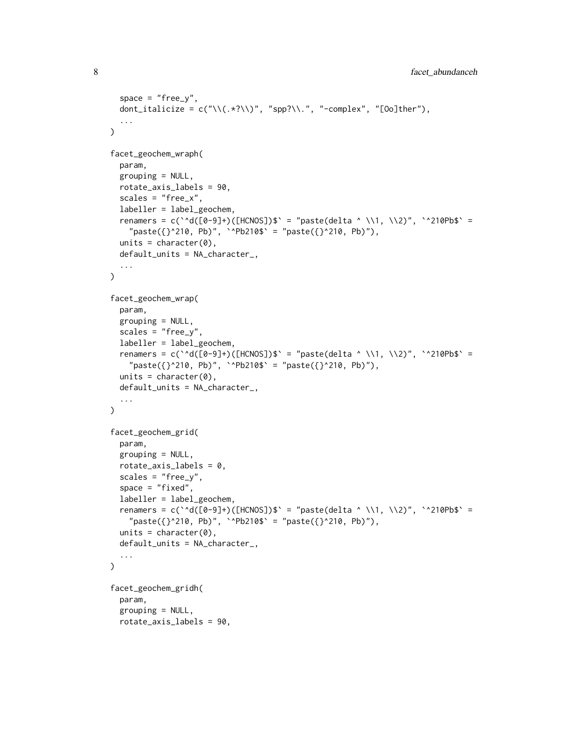```
space = "free_y",dont_italicize = c(" \\\(<math>\times</math>?\\\)", "spp?\\'.", "-complex", "[0o]ther"),...
\lambdafacet_geochem_wraph(
 param,
  grouping = NULL,
  rotate_axis_labels = 90,
  scales = "free_x",
  labeller = label_geochem,
  renamers = c(\text{``d}([0-9]+)([HCNOS])$' = "paste(delta ^ \\1, \\2)", \text{``210Pb$'} ="paste({?^210, Pb)"}, '^Pb210$' = "paste({?^210, Pb}''),units = character(0),
 default_units = NA_character_,
  ...
\mathcal{L}facet_geochem_wrap(
  param,
  grouping = NULL,
  scales = "free_y",
  labeller = label_geochem,
  renamers = c(`^d([0-9]+)([HCNOS])$` = "paste(delta ^ \\1, \\2)", `^210Pb$` =
    "paste({?^210, Pb)}", '^Pb210$' = "paste({?^210, Pb)}"),units = character(0),
  default_units = NA_character_,
  ...
\mathcal{L}facet_geochem_grid(
 param,
  grouping = NULL,rotate_axis_labels = 0,
  scales = "free_y",space = "fixed",labeller = label_geochem,
  renamers = c(`^d([0-9]+)([HCNOS])$` = "paste(delta ^ \\1, \\2)", `^210Pb$` =
    "paste({?^210, Pb)"}, '^Pb210$' = "paste({?^210, Pb)'},units = character(0),
  default_units = NA_character_,
  ...
\mathcal{L}facet_geochem_gridh(
  param,
  grouping = NULL,
  rotate_axis_labels = 90,
```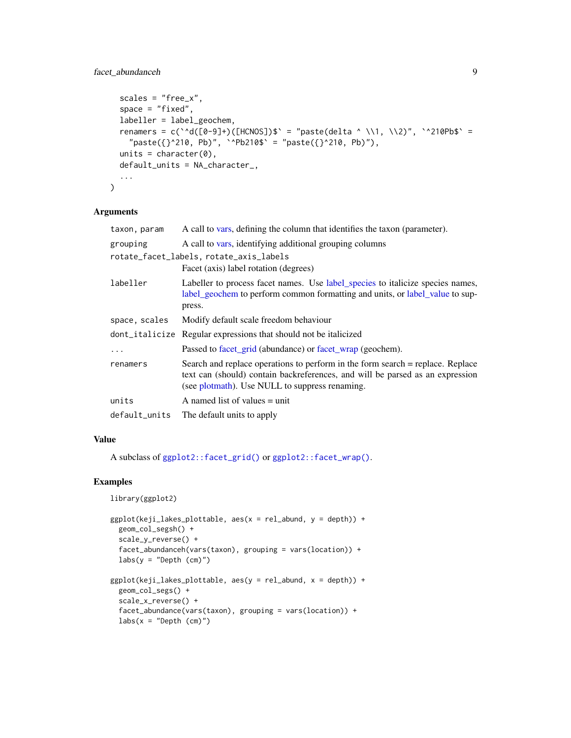#### <span id="page-8-0"></span>facet\_abundanceh 9

```
scales = "free_x",space = "fixed",labeller = label_geochem,
  renamers = c(`^d([0-9]+)([HCNOS])$` = "paste(delta ^ \\1, \\2)", `^210Pb$` =
    "paste({}}^2^210, Pb)", `^Pb210$` = "paste({}^210, Pb)"),
 units = character(0),
 default_units = NA_character_,
  ...
)
```
#### Arguments

| taxon, param  | A call to vars, defining the column that identifies the taxon (parameter).                                                                                                                                        |
|---------------|-------------------------------------------------------------------------------------------------------------------------------------------------------------------------------------------------------------------|
| grouping      | A call to vars, identifying additional grouping columns                                                                                                                                                           |
|               | rotate_facet_labels, rotate_axis_labels                                                                                                                                                                           |
|               | Facet (axis) label rotation (degrees)                                                                                                                                                                             |
| labeller      | Labeller to process facet names. Use label_species to italicize species names,<br>label_geochem to perform common formatting and units, or label_value to sup-<br>press.                                          |
| space, scales | Modify default scale freedom behaviour                                                                                                                                                                            |
|               | dont_italicize Regular expressions that should not be italicized                                                                                                                                                  |
| $\ddotsc$     | Passed to facet_grid (abundance) or facet_wrap (geochem).                                                                                                                                                         |
| renamers      | Search and replace operations to perform in the form search = replace. Replace<br>text can (should) contain backreferences, and will be parsed as an expression<br>(see plotmath). Use NULL to suppress renaming. |
| units         | A named list of values $=$ unit                                                                                                                                                                                   |
| default_units | The default units to apply                                                                                                                                                                                        |

#### Value

A subclass of [ggplot2::facet\\_grid\(\)](#page-0-0) or [ggplot2::facet\\_wrap\(\)](#page-0-0).

#### Examples

```
library(ggplot2)
```

```
ggplot(keji\_lakes\_plottable, aes(x = rel\_abund, y = depth)) +geom_col_segsh() +
  scale_y_reverse() +
  facet_abundanceh(vars(taxon), grouping = vars(location)) +
  labs(y = "Depth (cm)")ggplot(keji\_lakes\_plottable, aes(y = rel\_abund, x = depth)) +geom_col_segs() +
  scale_x_reverse() +
  facet_abundance(vars(taxon), grouping = vars(location)) +
  \text{labs}(x = \text{"Depth (cm)'})
```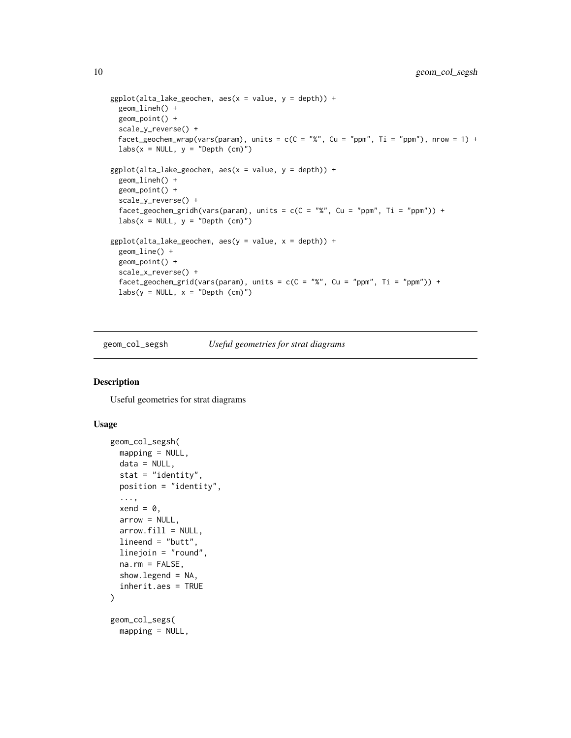```
ggplot(alta\_lake\_geochem, aes(x = value, y = depth)) +geom_lineh() +
 geom_point() +
 scale_y_reverse() +
 facet_geochem_wrap(vars(param), units = c(C = "%", Cu = "ppm", Ti = "ppm"), nrow = 1) +
 labs(x = NULL, y = "Depth (cm)")ggplot(alta\_lake\_geochem, aes(x = value, y = depth)) +geom_lineh() +
 geom_point() +
 scale_y_reverse() +
 facet\_geochem\_gridh(vars(param), units = c(C = "%", Cu = "ppm", Ti = "ppm")) +\text{labs}(x = \text{NULL}, y = \text{"Depth} (cm) \text{''})ggplot(alta\_lake\_geochem, aes(y = value, x = depth)) +geom_line() +
 geom_point() +
 scale_x_reverse() +
 facet_geochem_grid(vars(param), units = c(C = "%", Cu = "ppm", Ti = "ppm")) +
 labs(y = NULL, x = "Depth (cm)")
```
geom\_col\_segsh *Useful geometries for strat diagrams*

#### Description

Useful geometries for strat diagrams

```
geom_col_segsh(
 mapping = NULL,
 data = NULL,stat = "identity",
 position = "identity",
  ...,
 xend = 0,
 arrow = NULL,
  arrow.fit11 = NULL,lineend = "butt",
 linejoin = "round",
 na.rm = FALSE,show.legend = NA,
 inherit.aes = TRUE
)
geom_col_segs(
 mapping = NULL,
```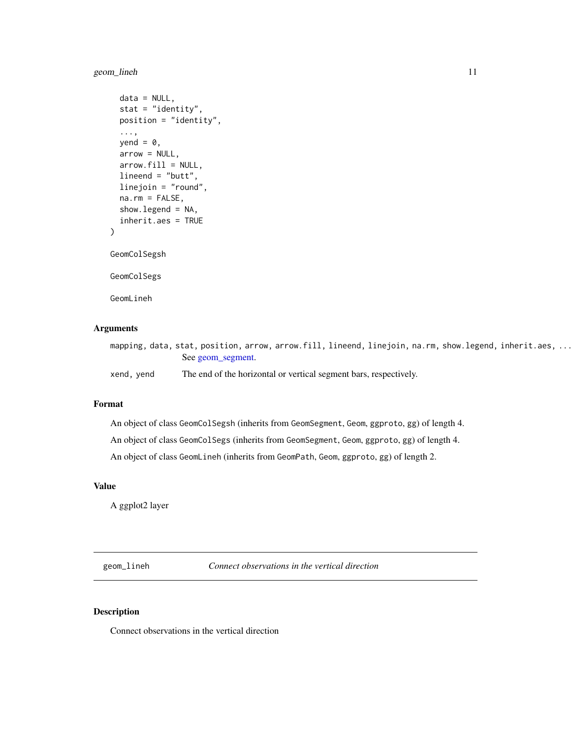#### <span id="page-10-0"></span>geom\_lineh 11

```
data = NULL,
 stat = "identity",
 position = "identity",
  ...,
 yend = \theta,
 arrow = NULL,
  arrow.fill = NULL,
 lineend = "butt",
  linejoin = "round",
 na.rm = FALSE,show.legend = NA,
  inherit.aes = TRUE
GeomColSegsh
GeomColSegs
GeomLineh
```
#### Arguments

)

| mapping, data, stat, position, arrow, arrow.fill, lineend, linejoin, na.rm, show.legend, inherit.aes, |                   |  |  |  |  |  |
|-------------------------------------------------------------------------------------------------------|-------------------|--|--|--|--|--|
|                                                                                                       | See geom_segment. |  |  |  |  |  |

xend, yend The end of the horizontal or vertical segment bars, respectively.

#### Format

An object of class GeomColSegsh (inherits from GeomSegment, Geom, ggproto, gg) of length 4.

An object of class GeomColSegs (inherits from GeomSegment, Geom, ggproto, gg) of length 4.

An object of class GeomLineh (inherits from GeomPath, Geom, ggproto, gg) of length 2.

#### Value

A ggplot2 layer

geom\_lineh *Connect observations in the vertical direction*

#### Description

Connect observations in the vertical direction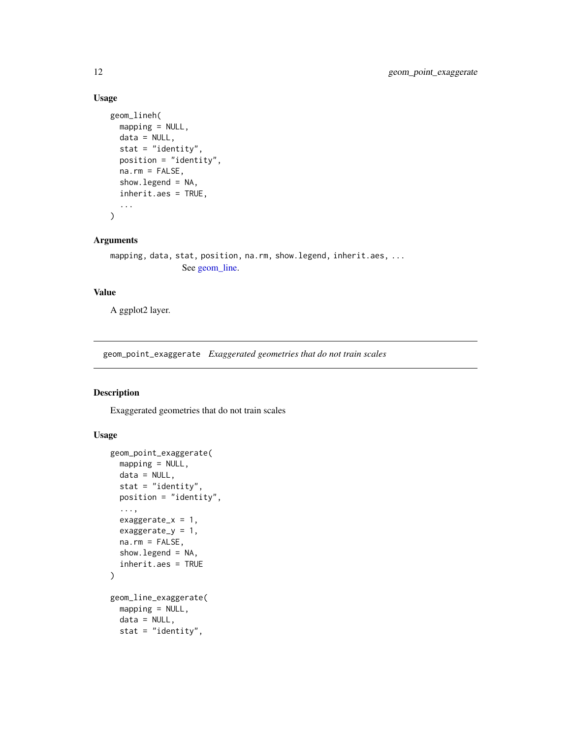#### Usage

```
geom_lineh(
 mapping = NULL,
  data = NULL,stat = "identity",
 position = "identity",
 na.rm = FALSE,
  show.legend = NA,
  inherit.aes = TRUE,
  ...
\mathcal{L}
```
#### Arguments

```
mapping, data, stat, position, na.rm, show.legend, inherit.aes, ...
                See geom_line.
```
#### Value

A ggplot2 layer.

geom\_point\_exaggerate *Exaggerated geometries that do not train scales*

#### Description

Exaggerated geometries that do not train scales

```
geom_point_exaggerate(
 mapping = NULL,data = NULL,stat = "identity",
 position = "identity",
  ...,
  exaggerate_x = 1,
  exaggerate_y = 1,
 na.rm = FALSE,
  show.legend = NA,
  inherit.aes = TRUE
\lambdageom_line_exaggerate(
 mapping = NULL,
  data = NULL,stat = "identity",
```
<span id="page-11-0"></span>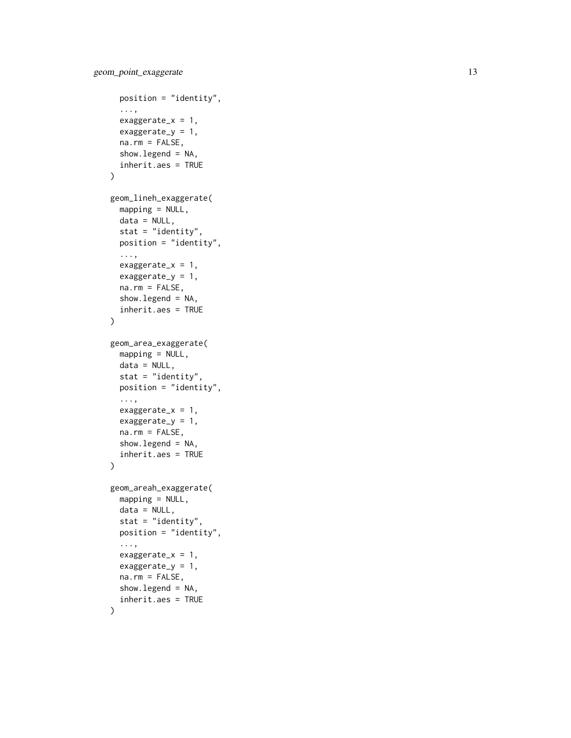```
position = "identity",
  ...,
  exaggerate_x = 1,
  exaggerate_y = 1,
  na.rm = FALSE,show.legend = NA,
  inherit.aes = TRUE
\mathcal{L}geom_lineh_exaggerate(
  mapping = NULL,
  data = NULL,stat = "identity",
  position = "identity",
  ...,
  exaggerate_x = 1,
  exaggerate_y = 1,
 na.rm = FALSE,show.legend = NA,
  inherit.aes = TRUE
)
geom_area_exaggerate(
 mapping = NULL,
 data = NULL,stat = "identity",
  position = "identity",
  ...,
  exaggerate_x = 1,
  exaggerate_y = 1,
  na.rm = FALSE,show.legend = NA,
  inherit.aes = TRUE
\lambdageom_areah_exaggerate(
 mapping = NULL,data = NULL,stat = "identity",
 position = "identity",
  ...,
  exaggerate_x = 1,
  exaggerate_y = 1,
  na.rm = FALSE,show.legend = NA,
  inherit.aes = TRUE
)
```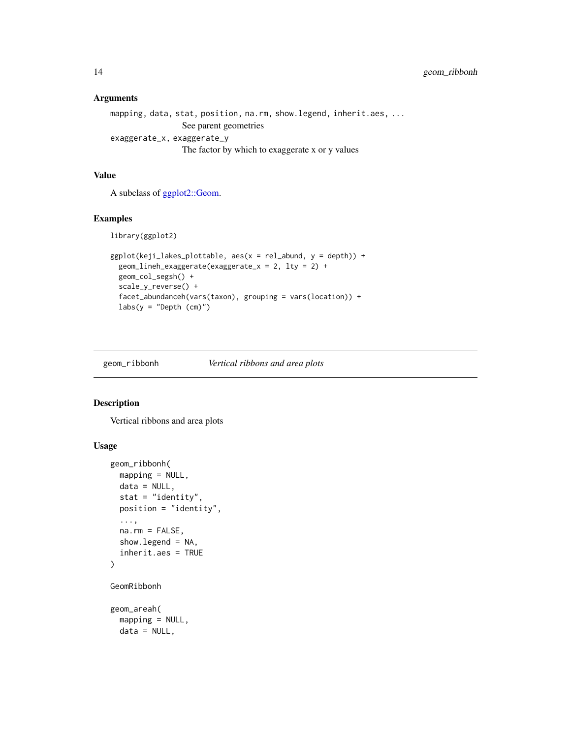```
mapping, data, stat, position, na.rm, show.legend, inherit.aes, ...
                 See parent geometries
exaggerate_x, exaggerate_y
                 The factor by which to exaggerate x or y values
```
#### Value

A subclass of [ggplot2::Geom.](#page-0-0)

#### Examples

library(ggplot2)

```
ggplot(keji_lakes_plottable, aes(x = rel_abund, y = depth)) +
  geom_lineh_exaggerate(exaggerate_x = 2, lty = 2) +
  geom_col_segsh() +
  scale_y_reverse() +
  facet_abundanceh(vars(taxon), grouping = vars(location)) +
  labs(y = "Depth (cm)")
```
geom\_ribbonh *Vertical ribbons and area plots*

#### Description

Vertical ribbons and area plots

```
geom_ribbonh(
 mapping = NULL,
  data = NULL,
  stat = "identity",
 position = "identity",
  ...,
  na.rm = FALSE,show.legend = NA,
  inherit.aes = TRUE
\mathcal{L}GeomRibbonh
geom_areah(
  mapping = NULL,data = NULL,
```
<span id="page-13-0"></span>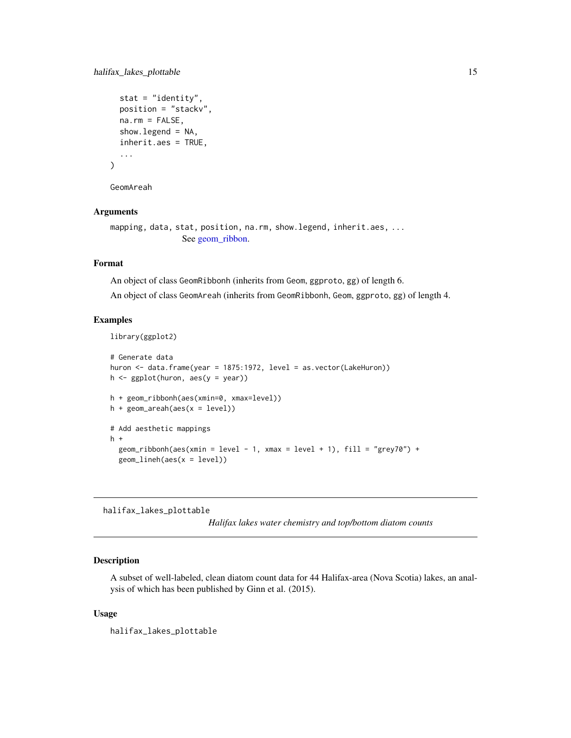```
stat = "identity",
 position = "stackv",
 na.rm = FALSE,show.legend = NA,
  inherit.aes = TRUE,
  ...
)
```
GeomAreah

#### Arguments

```
mapping, data, stat, position, na.rm, show.legend, inherit.aes, ...
                See geom_ribbon.
```
#### Format

An object of class GeomRibbonh (inherits from Geom, ggproto, gg) of length 6.

An object of class GeomAreah (inherits from GeomRibbonh, Geom, ggproto, gg) of length 4.

#### Examples

```
library(ggplot2)
```

```
# Generate data
huron <- data.frame(year = 1875:1972, level = as.vector(LakeHuron))
h <- ggplot(huron, aes(y = year))
h + geom_ribbonh(aes(xmin=0, xmax=level))
h + geom\_areah(aes(x = level))# Add aesthetic mappings
h +
  geom\_ribbonh(aes(xmin = level - 1, xmax = level + 1), fill = "grey70") +geom_lineh(aes(x = level))
```
halifax\_lakes\_plottable

*Halifax lakes water chemistry and top/bottom diatom counts*

#### Description

A subset of well-labeled, clean diatom count data for 44 Halifax-area (Nova Scotia) lakes, an analysis of which has been published by Ginn et al. (2015).

#### Usage

halifax\_lakes\_plottable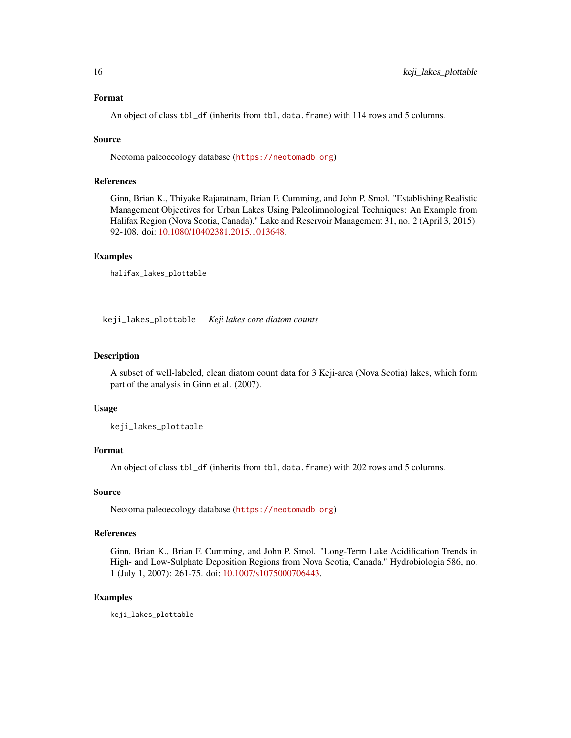#### <span id="page-15-0"></span>Format

An object of class tbl\_df (inherits from tbl, data.frame) with 114 rows and 5 columns.

#### Source

Neotoma paleoecology database (<https://neotomadb.org>)

#### References

Ginn, Brian K., Thiyake Rajaratnam, Brian F. Cumming, and John P. Smol. "Establishing Realistic Management Objectives for Urban Lakes Using Paleolimnological Techniques: An Example from Halifax Region (Nova Scotia, Canada)." Lake and Reservoir Management 31, no. 2 (April 3, 2015): 92-108. doi: [10.1080/10402381.2015.1013648.](https://doi.org/10.1080/10402381.2015.1013648)

#### Examples

```
halifax_lakes_plottable
```
keji\_lakes\_plottable *Keji lakes core diatom counts*

#### Description

A subset of well-labeled, clean diatom count data for 3 Keji-area (Nova Scotia) lakes, which form part of the analysis in Ginn et al. (2007).

#### Usage

keji\_lakes\_plottable

#### Format

An object of class tbl\_df (inherits from tbl, data.frame) with 202 rows and 5 columns.

#### Source

Neotoma paleoecology database (<https://neotomadb.org>)

#### References

Ginn, Brian K., Brian F. Cumming, and John P. Smol. "Long-Term Lake Acidification Trends in High- and Low-Sulphate Deposition Regions from Nova Scotia, Canada." Hydrobiologia 586, no. 1 (July 1, 2007): 261-75. doi: [10.1007/s1075000706443.](https://doi.org/10.1007/s10750-007-0644-3)

#### Examples

keji\_lakes\_plottable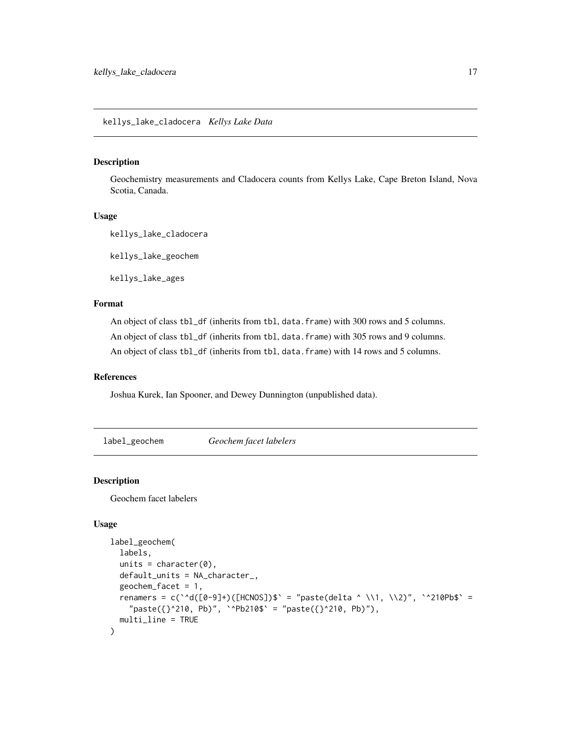#### <span id="page-16-0"></span>Description

Geochemistry measurements and Cladocera counts from Kellys Lake, Cape Breton Island, Nova Scotia, Canada.

#### Usage

kellys\_lake\_cladocera

kellys\_lake\_geochem

kellys\_lake\_ages

#### Format

An object of class tbl\_df (inherits from tbl, data.frame) with 300 rows and 5 columns. An object of class tbl\_df (inherits from tbl, data.frame) with 305 rows and 9 columns. An object of class tbl\_df (inherits from tbl, data.frame) with 14 rows and 5 columns.

#### References

Joshua Kurek, Ian Spooner, and Dewey Dunnington (unpublished data).

<span id="page-16-1"></span>label\_geochem *Geochem facet labelers*

#### Description

Geochem facet labelers

```
label_geochem(
  labels,
  units = character(0),
  default_units = NA_character_,
  geochem_facet = 1,
  renamers = c(\text{``d([0-9]+)}([HCNOS])$' = "paste(delta ^ \\1, \\2)", \text{``210Pb$'} ="paste({}}^2^210, Pb)", `^Pb210$` = "paste({}^210, Pb)"),
  multi_line = TRUE
)
```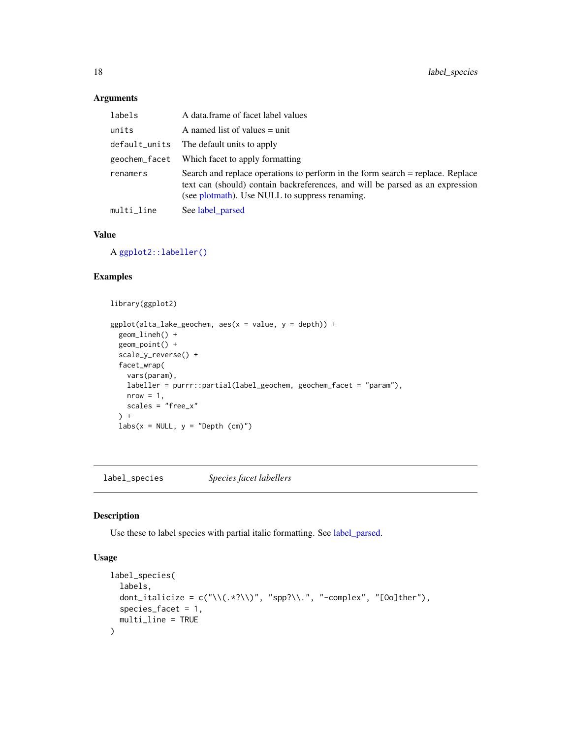| labels        | A data.frame of facet label values                                                                                                                                                                                |
|---------------|-------------------------------------------------------------------------------------------------------------------------------------------------------------------------------------------------------------------|
| units         | A named list of values $=$ unit                                                                                                                                                                                   |
| default_units | The default units to apply                                                                                                                                                                                        |
| geochem_facet | Which facet to apply formatting                                                                                                                                                                                   |
| renamers      | Search and replace operations to perform in the form search = replace. Replace<br>text can (should) contain backreferences, and will be parsed as an expression<br>(see plotmath). Use NULL to suppress renaming. |
| multi_line    | See label_parsed                                                                                                                                                                                                  |

#### Value

A [ggplot2::labeller\(\)](#page-0-0)

#### Examples

```
library(ggplot2)
ggplot(alta\_lake\_geochem, aes(x = value, y = depth)) +geom_lineh() +
 geom_point() +
 scale_y_reverse() +
 facet_wrap(
   vars(param),
    labeller = purrr::partial(label_geochem, geochem_facet = "param"),
   nrow = 1,
   scales = "free_x"
  ) +
  \text{labs}(x = \text{NULL}, y = \text{"Depth (cm)"}
```
<span id="page-17-1"></span>label\_species *Species facet labellers*

#### **Description**

Use these to label species with partial italic formatting. See [label\\_parsed.](#page-0-0)

```
label_species(
  labels,
  dont_italicize = c(" \\\langle .*? \rangle \rangle", "spp?\\.", "-complex", "[Oo]ther"),
  species_facet = 1,
  multi_line = TRUE
\mathcal{L}
```
<span id="page-17-0"></span>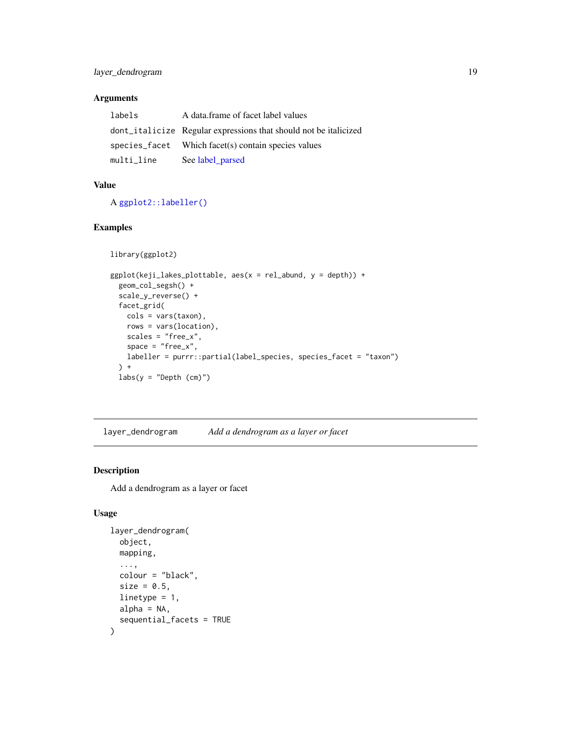<span id="page-18-0"></span>

| labels     | A data frame of facet label values                               |
|------------|------------------------------------------------------------------|
|            | dont_italicize Regular expressions that should not be italicized |
|            | species_facet Which facet(s) contain species values              |
| multi_line | See label parsed                                                 |

#### Value

A [ggplot2::labeller\(\)](#page-0-0)

#### Examples

```
library(ggplot2)
```

```
ggplot(keji\_lakes\_plottable, aes(x = rel\_abund, y = depth)) +geom_col_segsh() +
  scale_y_reverse() +
  facet_grid(
   cols = vars(taxon),
   rows = vars(location),
   scales = "free_x",
   space = "free_x",labeller = purrr::partial(label_species, species_facet = "taxon")
  ) +labs(y = "Depth (cm)")
```
layer\_dendrogram *Add a dendrogram as a layer or facet*

#### Description

Add a dendrogram as a layer or facet

```
layer_dendrogram(
  object,
  mapping,
  ...,
  colour = "black",
  size = 0.5,
  linetype = 1,
  alpha = NA,
  sequential_facets = TRUE
\mathcal{L}
```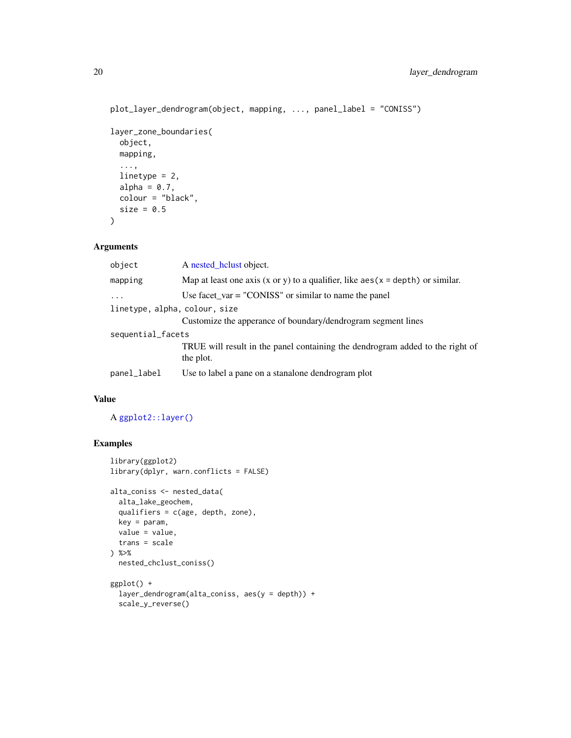```
plot_layer_dendrogram(object, mapping, ..., panel_label = "CONISS")
layer_zone_boundaries(
 object,
 mapping,
  ...,
 linetype = 2,
 alpha = 0.7,
 colour = "black",
 size = 0.5\mathcal{L}
```

| object                        | A nested_hclust object.                                                                    |
|-------------------------------|--------------------------------------------------------------------------------------------|
| mapping                       | Map at least one axis (x or y) to a qualifier, like $aes(x = depth)$ or similar.           |
| $\ddotsc$                     | Use facet_var = "CONISS" or similar to name the panel                                      |
| linetype, alpha, colour, size |                                                                                            |
|                               | Customize the apperance of boundary/dendrogram segment lines                               |
| sequential_facets             |                                                                                            |
|                               | TRUE will result in the panel containing the dendrogram added to the right of<br>the plot. |
| panel_label                   | Use to label a pane on a stanalone dendrogram plot                                         |

#### Value

A [ggplot2::layer\(\)](#page-0-0)

#### Examples

```
library(ggplot2)
library(dplyr, warn.conflicts = FALSE)
alta_coniss <- nested_data(
 alta_lake_geochem,
 qualifiers = c(age, depth, zone),
 key = param,
 value = value,
 trans = scale
) %>%
 nested_chclust_coniss()
ggplot() +
  layer_dendrogram(alta_coniss, aes(y = depth)) +
  scale_y_reverse()
```
<span id="page-19-0"></span>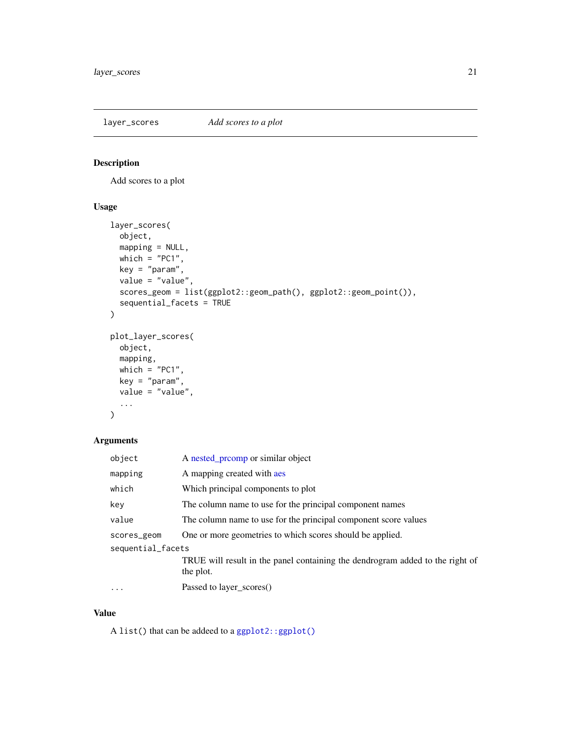<span id="page-20-0"></span>layer\_scores *Add scores to a plot*

#### Description

Add scores to a plot

#### Usage

```
layer_scores(
 object,
 mapping = NULL,
 which = "PC1",key = "param",
 value = "value",
 scores_geom = list(ggplot2::geom_path(), ggplot2::geom_point()),
 sequential_facets = TRUE
)
plot_layer_scores(
 object,
 mapping,
 which = "PC1",
 key = "param",value = "value",
  ...
)
```
#### Arguments

| object            | A nested promp or similar object                                                           |
|-------------------|--------------------------------------------------------------------------------------------|
| mapping           | A mapping created with aes                                                                 |
| which             | Which principal components to plot                                                         |
| key               | The column name to use for the principal component names                                   |
| value             | The column name to use for the principal component score values                            |
| scores_geom       | One or more geometries to which scores should be applied.                                  |
| sequential_facets |                                                                                            |
|                   | TRUE will result in the panel containing the dendrogram added to the right of<br>the plot. |
| $\ddotsc$         | Passed to layer_scores()                                                                   |

#### Value

A list() that can be addeed to a [ggplot2::ggplot\(\)](#page-0-0)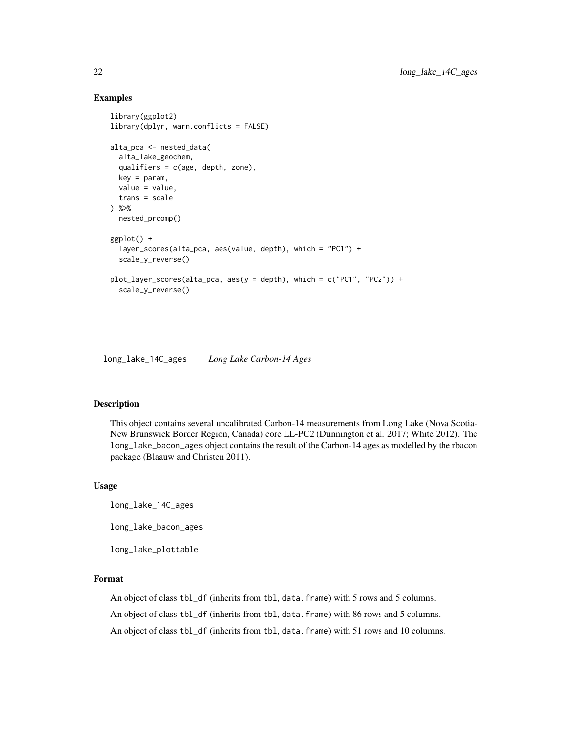#### <span id="page-21-0"></span>Examples

```
library(ggplot2)
library(dplyr, warn.conflicts = FALSE)
alta_pca <- nested_data(
 alta_lake_geochem,
 qualifiers = c(age, depth, zone),
 key = param,
 value = value,
 trans = scale
) %>%
 nested_prcomp()
ggplot() +
 layer_scores(alta_pca, aes(value, depth), which = "PC1") +
 scale_y_reverse()
plot_layer_scores(alta_pca, aes(y = depth), which = c("PC1", "PC2")) +
 scale_y_reverse()
```
long\_lake\_14C\_ages *Long Lake Carbon-14 Ages*

#### Description

This object contains several uncalibrated Carbon-14 measurements from Long Lake (Nova Scotia-New Brunswick Border Region, Canada) core LL-PC2 (Dunnington et al. 2017; White 2012). The long\_lake\_bacon\_ages object contains the result of the Carbon-14 ages as modelled by the rbacon package (Blaauw and Christen 2011).

#### Usage

long\_lake\_14C\_ages

long\_lake\_bacon\_ages

long\_lake\_plottable

#### Format

An object of class tbl\_df (inherits from tbl, data.frame) with 5 rows and 5 columns.

An object of class tbl\_df (inherits from tbl, data.frame) with 86 rows and 5 columns.

An object of class tbl\_df (inherits from tbl, data.frame) with 51 rows and 10 columns.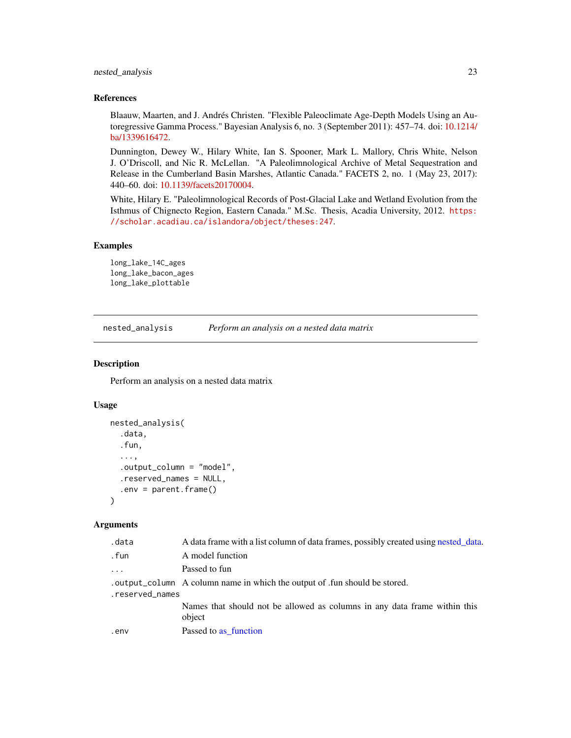#### <span id="page-22-0"></span>nested\_analysis 23

#### References

Blaauw, Maarten, and J. Andrés Christen. "Flexible Paleoclimate Age-Depth Models Using an Autoregressive Gamma Process." Bayesian Analysis 6, no. 3 (September 2011): 457–74. doi: [10.1214/](https://doi.org/10.1214/ba/1339616472) [ba/1339616472.](https://doi.org/10.1214/ba/1339616472)

Dunnington, Dewey W., Hilary White, Ian S. Spooner, Mark L. Mallory, Chris White, Nelson J. O'Driscoll, and Nic R. McLellan. "A Paleolimnological Archive of Metal Sequestration and Release in the Cumberland Basin Marshes, Atlantic Canada." FACETS 2, no. 1 (May 23, 2017): 440–60. doi: [10.1139/facets20170004.](https://doi.org/10.1139/facets-2017-0004)

White, Hilary E. "Paleolimnological Records of Post-Glacial Lake and Wetland Evolution from the Isthmus of Chignecto Region, Eastern Canada." M.Sc. Thesis, Acadia University, 2012. [https:](https://scholar.acadiau.ca/islandora/object/theses:247) [//scholar.acadiau.ca/islandora/object/theses:247](https://scholar.acadiau.ca/islandora/object/theses:247).

#### Examples

```
long_lake_14C_ages
long_lake_bacon_ages
long_lake_plottable
```
<span id="page-22-1"></span>nested\_analysis *Perform an analysis on a nested data matrix*

#### Description

Perform an analysis on a nested data matrix

#### Usage

```
nested_analysis(
  .data,
  .fun,
  ...,
  .output_column = "model",
  .reserved_names = NULL,
  .env = parent.frame()
\mathcal{L}
```
#### Arguments

| .data           | A data frame with a list column of data frames, possibly created using nested_data. |
|-----------------|-------------------------------------------------------------------------------------|
| .fun            | A model function                                                                    |
| $\cdots$        | Passed to fun                                                                       |
|                 | . output_column A column name in which the output of .fun should be stored.         |
| .reserved_names |                                                                                     |
|                 | Names that should not be allowed as columns in any data frame within this<br>object |
| .env            | Passed to as function                                                               |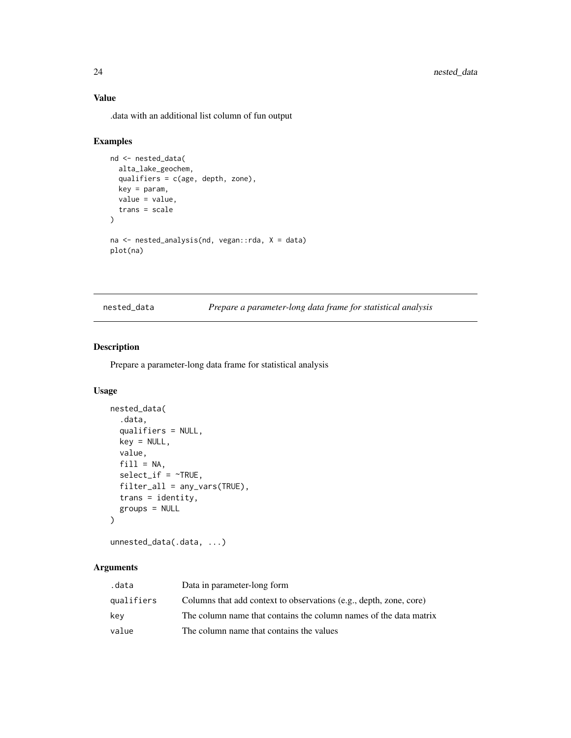#### Value

.data with an additional list column of fun output

#### Examples

```
nd <- nested_data(
  alta_lake_geochem,
  qualifiers = c(age, depth, zone),
  key = param,
  value = value,
  trans = scale
\mathcal{L}na <- nested_analysis(nd, vegan::rda, X = data)
plot(na)
```
<span id="page-23-1"></span>nested\_data *Prepare a parameter-long data frame for statistical analysis*

#### Description

Prepare a parameter-long data frame for statistical analysis

#### Usage

```
nested_data(
  .data,
  qualifiers = NULL,
  key = NULL,
  value,
  fill = NA,
  select\_if = \neg TRUE,filter_all = any_vars(TRUE),
  trans = identity,
  groups = NULL
\mathcal{L}
```
unnested\_data(.data, ...)

#### Arguments

| .data      | Data in parameter-long form                                        |
|------------|--------------------------------------------------------------------|
| qualifiers | Columns that add context to observations (e.g., depth, zone, core) |
| kev        | The column name that contains the column names of the data matrix  |
| value      | The column name that contains the values                           |

<span id="page-23-0"></span>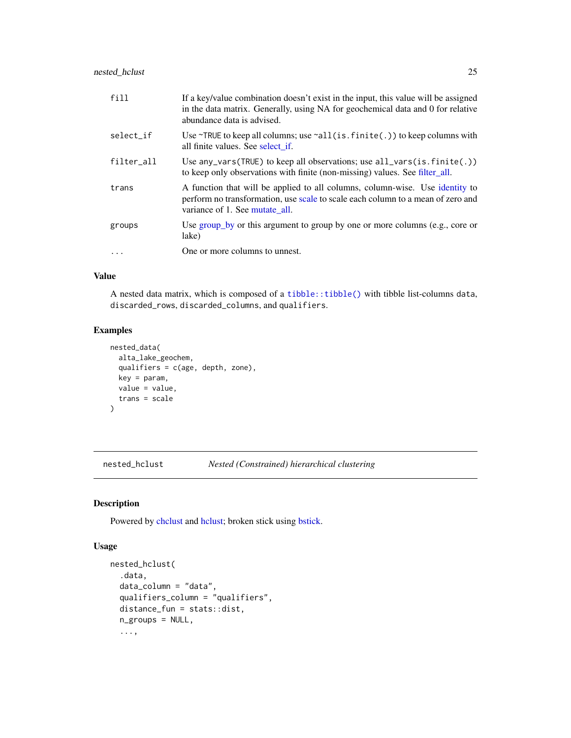<span id="page-24-0"></span>

| fill       | If a key/value combination doesn't exist in the input, this value will be assigned<br>in the data matrix. Generally, using NA for geochemical data and 0 for relative<br>abundance data is advised. |
|------------|-----------------------------------------------------------------------------------------------------------------------------------------------------------------------------------------------------|
| select_if  | Use $\sim$ TRUE to keep all columns; use $\sim$ all(is.finite(.)) to keep columns with<br>all finite values. See select if.                                                                         |
| filter_all | Use any vars (TRUE) to keep all observations; use $all\_vars(is.finite(.))$<br>to keep only observations with finite (non-missing) values. See filter_all.                                          |
| trans      | A function that will be applied to all columns, column-wise. Use identity to<br>perform no transformation, use scale to scale each column to a mean of zero and<br>variance of 1. See mutate all.   |
| groups     | Use group_by or this argument to group by one or more columns (e.g., core or<br>lake)                                                                                                               |
| $\cdots$   | One or more columns to unnest.                                                                                                                                                                      |

#### Value

A nested data matrix, which is composed of a [tibble::tibble\(\)](#page-0-0) with tibble list-columns data, discarded\_rows, discarded\_columns, and qualifiers.

#### Examples

```
nested_data(
  alta_lake_geochem,
  qualifiers = c(age, depth, zone),
  key = param,
  value = value,
  trans = scale
)
```
<span id="page-24-1"></span>nested\_hclust *Nested (Constrained) hierarchical clustering*

#### Description

Powered by [chclust](#page-0-0) and [hclust;](#page-0-0) broken stick using [bstick.](#page-0-0)

```
nested_hclust(
  .data,
 data_column = "data",
 qualifiers_column = "qualifiers",
 distance_fun = stats::dist,
 n_groups = NULL,
  ...,
```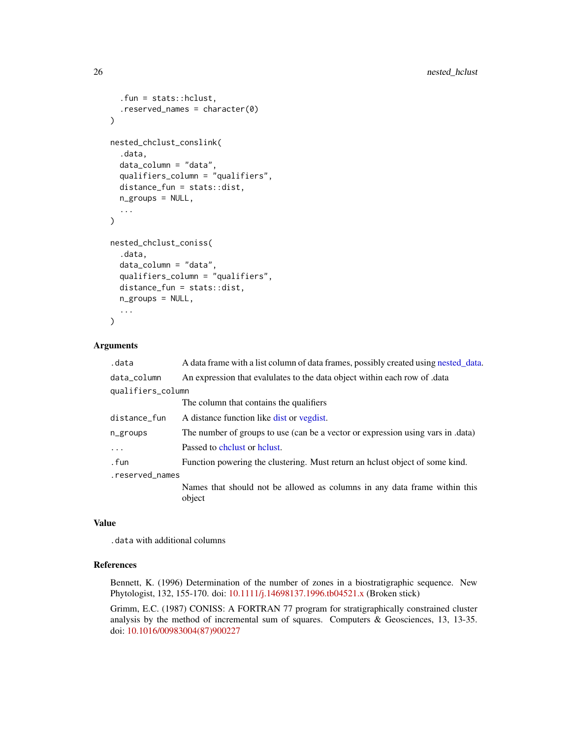```
.fun = stats::hclust,
  .reserved_names = character(0)
\lambdanested_chclust_conslink(
  .data,
  data_column = "data",
  qualifiers_column = "qualifiers",
  distance_fun = stats::dist,
  n_groups = NULL,
  ...
\mathcal{L}nested_chclust_coniss(
  .data,
  data_column = "data",
  qualifiers_column = "qualifiers",
  distance_fun = stats::dist,
 n_groups = NULL,
  ...
)
```

| .data             | A data frame with a list column of data frames, possibly created using nested_data. |  |
|-------------------|-------------------------------------------------------------------------------------|--|
| data_column       | An expression that evalulates to the data object within each row of data            |  |
| qualifiers_column |                                                                                     |  |
|                   | The column that contains the qualifiers                                             |  |
| distance_fun      | A distance function like dist or vegdist.                                           |  |
| n_groups          | The number of groups to use (can be a vector or expression using vars in .data)     |  |
| $\ddots$          | Passed to chelust or helust.                                                        |  |
| . fun             | Function powering the clustering. Must return an helust object of some kind.        |  |
| .reserved_names   |                                                                                     |  |
|                   | Names that should not be allowed as columns in any data frame within this<br>object |  |
|                   |                                                                                     |  |

#### Value

.data with additional columns

#### References

Bennett, K. (1996) Determination of the number of zones in a biostratigraphic sequence. New Phytologist, 132, 155-170. doi: [10.1111/j.14698137.1996.tb04521.x](https://doi.org/10.1111/j.1469-8137.1996.tb04521.x) (Broken stick)

Grimm, E.C. (1987) CONISS: A FORTRAN 77 program for stratigraphically constrained cluster analysis by the method of incremental sum of squares. Computers & Geosciences, 13, 13-35. doi: [10.1016/00983004\(87\)900227](https://doi.org/10.1016/0098-3004(87)90022-7)

<span id="page-25-0"></span>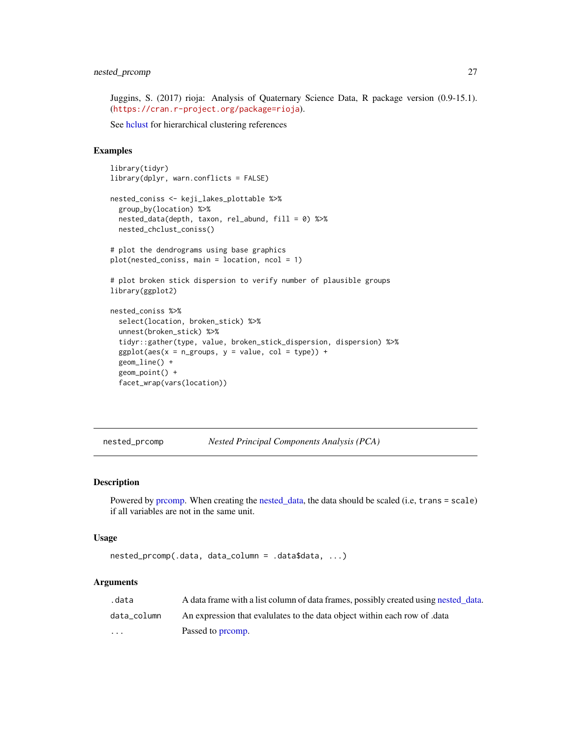<span id="page-26-0"></span>Juggins, S. (2017) rioja: Analysis of Quaternary Science Data, R package version (0.9-15.1). (<https://cran.r-project.org/package=rioja>).

See [hclust](#page-0-0) for hierarchical clustering references

#### Examples

```
library(tidyr)
library(dplyr, warn.conflicts = FALSE)
nested_coniss <- keji_lakes_plottable %>%
  group_by(location) %>%
  nested_data(depth, taxon, rel_abund, fill = 0) %>%
  nested_chclust_coniss()
# plot the dendrograms using base graphics
plot(nested_coniss, main = location, ncol = 1)
# plot broken stick dispersion to verify number of plausible groups
library(ggplot2)
nested_coniss %>%
  select(location, broken_stick) %>%
  unnest(broken_stick) %>%
  tidyr::gather(type, value, broken_stick_dispersion, dispersion) %>%
  ggplot(aes(x = n_groups, y = value, col = type)) +geom_line() +
  geom_point() +
  facet_wrap(vars(location))
```
<span id="page-26-1"></span>nested\_prcomp *Nested Principal Components Analysis (PCA)*

#### Description

Powered by [prcomp.](#page-0-0) When creating the [nested\\_data,](#page-23-1) the data should be scaled (i.e, trans = scale) if all variables are not in the same unit.

#### Usage

```
nested_prcomp(.data, data_column = .data$data, ...)
```
#### **Arguments**

| .data       | A data frame with a list column of data frames, possibly created using nested data. |
|-------------|-------------------------------------------------------------------------------------|
| data column | An expression that evalulates to the data object within each row of data            |
| $\cdots$    | Passed to promp.                                                                    |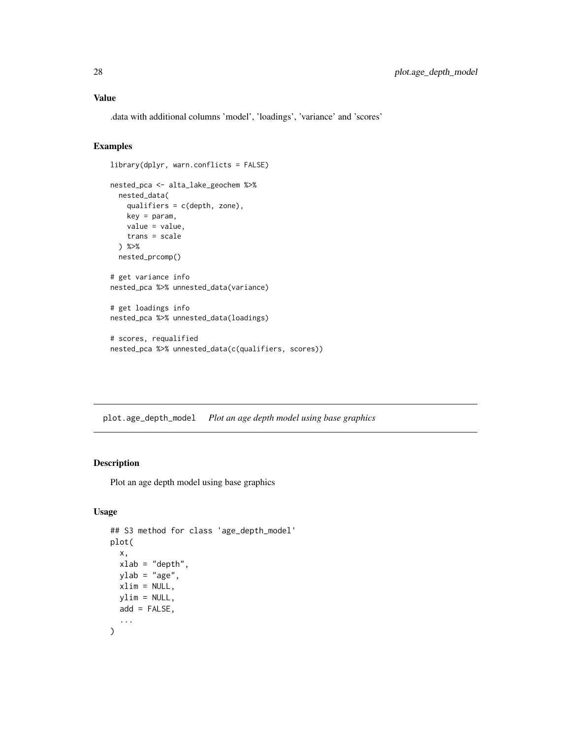#### <span id="page-27-0"></span>Value

.data with additional columns 'model', 'loadings', 'variance' and 'scores'

#### Examples

```
library(dplyr, warn.conflicts = FALSE)
nested_pca <- alta_lake_geochem %>%
  nested_data(
   qualifiers = c(depth, zone),
   key = param,
   value = value,
   trans = scale
  ) %>%
  nested_prcomp()
# get variance info
nested_pca %>% unnested_data(variance)
# get loadings info
nested_pca %>% unnested_data(loadings)
# scores, requalified
nested_pca %>% unnested_data(c(qualifiers, scores))
```
plot.age\_depth\_model *Plot an age depth model using base graphics*

#### Description

Plot an age depth model using base graphics

```
## S3 method for class 'age_depth_model'
plot(
  x,
 xlab = "depth",
 ylab = "age",
 xlim = NULL,ylim = NULL,
 add = FALSE,...
\mathcal{L}
```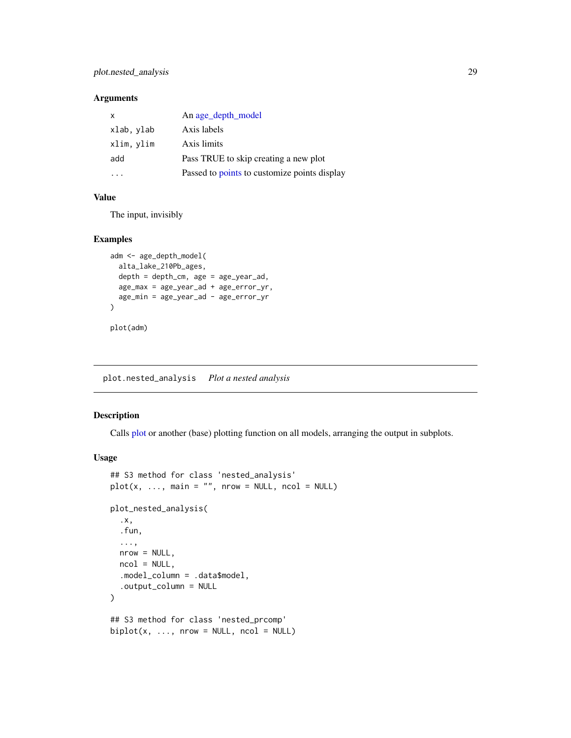#### <span id="page-28-0"></span>plot.nested\_analysis 29

#### Arguments

| $\mathsf{x}$ | An age_depth_model                           |
|--------------|----------------------------------------------|
| xlab, ylab   | Axis labels                                  |
| xlim, ylim   | Axis limits                                  |
| add          | Pass TRUE to skip creating a new plot        |
|              | Passed to points to customize points display |

#### Value

The input, invisibly

#### Examples

```
adm <- age_depth_model(
  alta_lake_210Pb_ages,
  depth = depth_cm, age = age_year_ad,
  age_max = age_year_ad + age_error_yr,
  age_min = age_year_ad - age_error_yr
)
plot(adm)
```
plot.nested\_analysis *Plot a nested analysis*

#### Description

Calls [plot](#page-0-0) or another (base) plotting function on all models, arranging the output in subplots.

```
## S3 method for class 'nested_analysis'
plot(x, ..., main = "", nrow = NULL, ncol = NULL)plot_nested_analysis(
  .x,
  .fun,
  ...,
 nrow = NULL,
  ncol = NULL,.model_column = .data$model,
  .output_column = NULL
\lambda## S3 method for class 'nested_prcomp'
biplot(x, ..., nrow = NULL, ncol = NULL)
```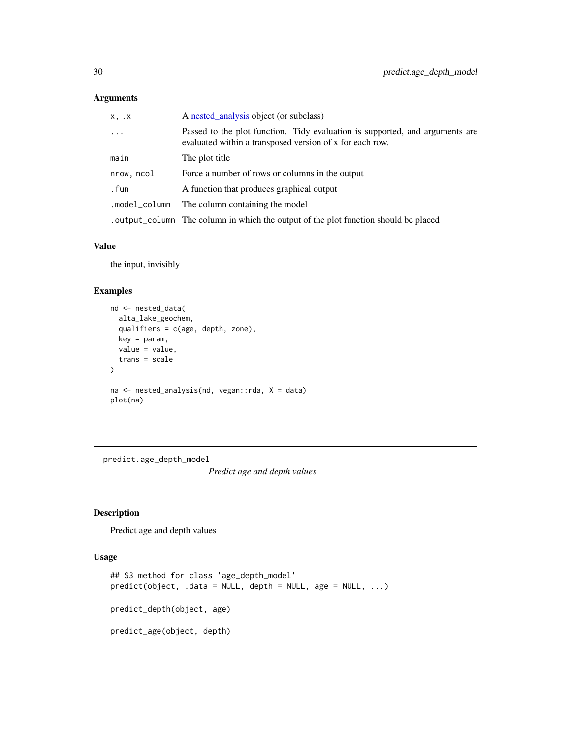<span id="page-29-0"></span>

| x, x          | A nested_analysis object (or subclass)                                                                                                   |
|---------------|------------------------------------------------------------------------------------------------------------------------------------------|
| $\cdots$      | Passed to the plot function. Tidy evaluation is supported, and arguments are<br>evaluated within a transposed version of x for each row. |
| main          | The plot title                                                                                                                           |
| nrow, ncol    | Force a number of rows or columns in the output                                                                                          |
| . fun         | A function that produces graphical output                                                                                                |
| .model_column | The column containing the model                                                                                                          |
|               | output_column The column in which the output of the plot function should be placed                                                       |

#### Value

the input, invisibly

#### Examples

```
nd <- nested_data(
 alta_lake_geochem,
  qualifiers = c(age, depth, zone),
  key = param,
  value = value,
  trans = scale
)
na <- nested_analysis(nd, vegan::rda, X = data)
plot(na)
```
predict.age\_depth\_model

*Predict age and depth values*

### Description

Predict age and depth values

```
## S3 method for class 'age_depth_model'
predict(object, .data = NULL, depth = NULL, age = NULL, ...)
predict_depth(object, age)
predict_age(object, depth)
```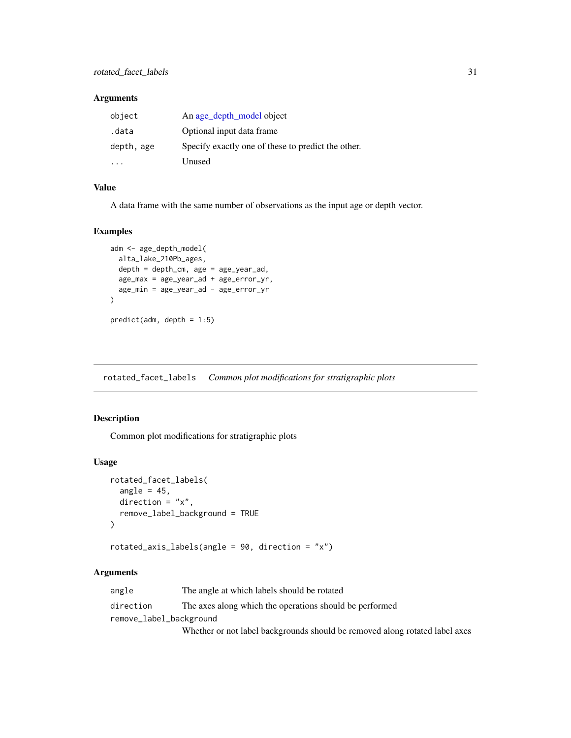<span id="page-30-0"></span>

| object     | An age_depth_model object                          |
|------------|----------------------------------------------------|
| .data      | Optional input data frame                          |
| depth, age | Specify exactly one of these to predict the other. |
|            | Unused                                             |

#### Value

A data frame with the same number of observations as the input age or depth vector.

#### Examples

```
adm <- age_depth_model(
  alta_lake_210Pb_ages,
  depth = depth_cm, age = age_year_ad,
  age_max = age_year_ad + age_error_yr,
  age_min = age_year_ad - age_error_yr
\overline{)}predict(adm, depth = 1:5)
```
<span id="page-30-1"></span>rotated\_facet\_labels *Common plot modifications for stratigraphic plots*

#### <span id="page-30-2"></span>Description

Common plot modifications for stratigraphic plots

#### Usage

```
rotated_facet_labels(
  angle = 45,
 direction = "x",remove_label_background = TRUE
)
```
rotated\_axis\_labels(angle = 90, direction = "x")

#### Arguments

| angle                   | The angle at which labels should be rotated                                 |
|-------------------------|-----------------------------------------------------------------------------|
| direction               | The axes along which the operations should be performed                     |
| remove_label_background |                                                                             |
|                         | Whether or not label backgrounds should be removed along rotated label axes |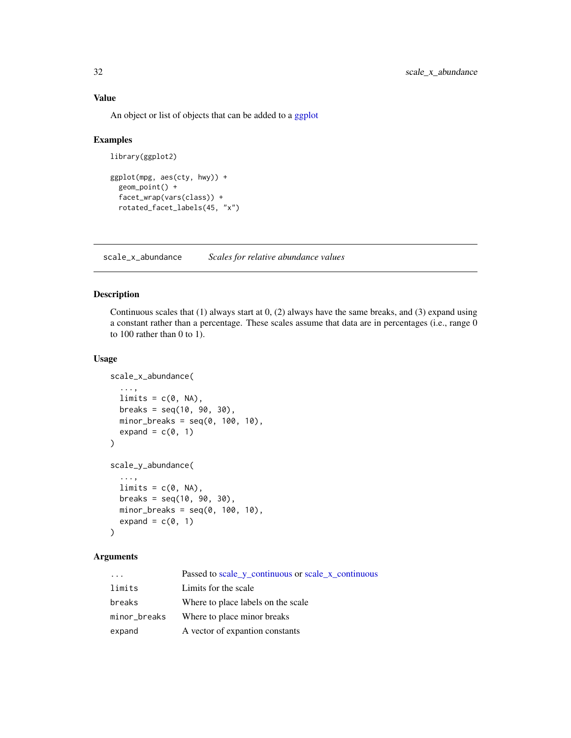An object or list of objects that can be added to a [ggplot](#page-0-0)

#### Examples

```
library(ggplot2)
```

```
ggplot(mpg, aes(cty, hwy)) +
  geom_point() +
  facet_wrap(vars(class)) +
  rotated_facet_labels(45, "x")
```
<span id="page-31-1"></span>scale\_x\_abundance *Scales for relative abundance values*

#### Description

Continuous scales that (1) always start at 0, (2) always have the same breaks, and (3) expand using a constant rather than a percentage. These scales assume that data are in percentages (i.e., range 0 to 100 rather than 0 to 1).

#### Usage

```
scale_x_abundance(
  ...,
 limits = c(0, NA),breaks = seq(10, 90, 30),minor_breaks = seq(0, 100, 10),
 expand = c(0, 1))
scale_y_abundance(
  ...,
 limits = c(0, NA),breaks = seq(10, 90, 30),minor_breaks = seq(0, 100, 10),expand = c(0, 1))
```
#### Arguments

| $\cdot$ $\cdot$ $\cdot$ | Passed to scale_y_continuous or scale_x_continuous |
|-------------------------|----------------------------------------------------|
| limits                  | Limits for the scale                               |
| breaks                  | Where to place labels on the scale                 |
| minor_breaks            | Where to place minor breaks                        |
| expand                  | A vector of expantion constants                    |

<span id="page-31-0"></span>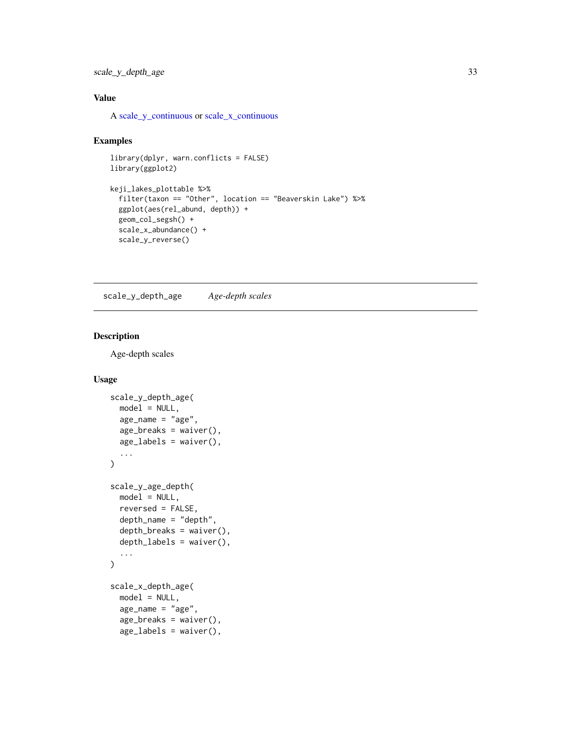#### <span id="page-32-0"></span>scale\_y\_depth\_age 33

#### Value

A [scale\\_y\\_continuous](#page-0-0) or [scale\\_x\\_continuous](#page-0-0)

#### Examples

```
library(dplyr, warn.conflicts = FALSE)
library(ggplot2)
keji_lakes_plottable %>%
  filter(taxon == "Other", location == "Beaverskin Lake") %>%
  ggplot(aes(rel_abund, depth)) +
  geom_col_segsh() +
  scale_x_abundance() +
  scale_y_reverse()
```
scale\_y\_depth\_age *Age-depth scales*

#### Description

Age-depth scales

```
scale_y_depth_age(
 model = NULL,
 age_name = "age",
  age\_breaks = waiver(),age_labels = waiver(),
  ...
)
scale_y_age_depth(
 model = NULL,reversed = FALSE,
 depth_name = "depth",
  depth_breaks = waiver(),
  depth_labels = waiver(),
  ...
\mathcal{L}scale_x_depth_age(
 model = NULL,age_name = "age",
  age_breaks = waiver(),
  age_labels = waiver(),
```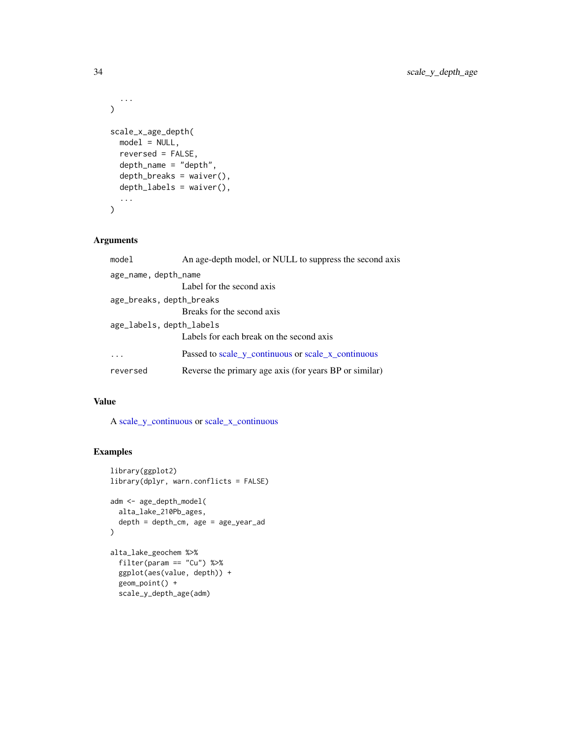```
...
\mathcal{L}scale_x_age_depth(
  model = NULL,reversed = FALSE,
  depth_name = "depth",
  depth_breaks = waiver(),
  depth_labels = waiver(),
  ...
\mathcal{L}
```

| model                    | An age-depth model, or NULL to suppress the second axis |
|--------------------------|---------------------------------------------------------|
| age_name, depth_name     |                                                         |
|                          | Label for the second axis                               |
| age_breaks, depth_breaks |                                                         |
|                          | Breaks for the second axis                              |
| age_labels, depth_labels |                                                         |
|                          | Labels for each break on the second axis                |
|                          | Passed to scale_y_continuous or scale_x_continuous      |
| reversed                 | Reverse the primary age axis (for years BP or similar)  |

#### Value

A [scale\\_y\\_continuous](#page-0-0) or [scale\\_x\\_continuous](#page-0-0)

#### Examples

```
library(ggplot2)
library(dplyr, warn.conflicts = FALSE)
adm <- age_depth_model(
  alta_lake_210Pb_ages,
  depth = depth_cm, age = age_year_ad
\mathcal{L}alta_lake_geochem %>%
 filter(param == "Cu") %>%
  ggplot(aes(value, depth)) +
  geom_point() +
  scale_y_depth_age(adm)
```
<span id="page-33-0"></span>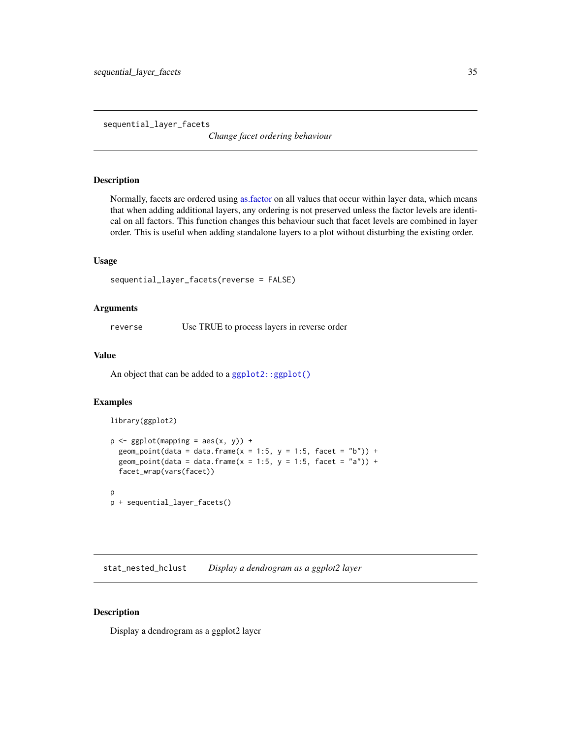<span id="page-34-0"></span>sequential\_layer\_facets

*Change facet ordering behaviour*

#### Description

Normally, facets are ordered using [as.factor](#page-0-0) on all values that occur within layer data, which means that when adding additional layers, any ordering is not preserved unless the factor levels are identical on all factors. This function changes this behaviour such that facet levels are combined in layer order. This is useful when adding standalone layers to a plot without disturbing the existing order.

#### Usage

```
sequential_layer_facets(reverse = FALSE)
```
#### Arguments

reverse Use TRUE to process layers in reverse order

#### Value

An object that can be added to a  $ggplot2::ggplot()$ 

#### Examples

library(ggplot2)

```
p \leftarrow ggplot(mapping = aes(x, y)) +geom_point(data = data.frame(x = 1:5, y = 1:5, facet = "b")) +
 geom_point(data = data.frame(x = 1:5, y = 1:5, facet = "a")) +
 facet_wrap(vars(facet))
```

```
p
p + sequential_layer_facets()
```
stat\_nested\_hclust *Display a dendrogram as a ggplot2 layer*

#### Description

Display a dendrogram as a ggplot2 layer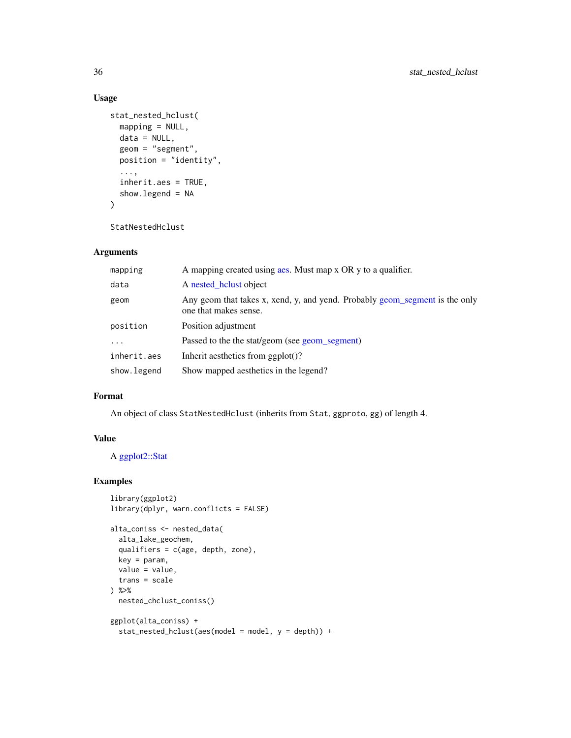#### Usage

```
stat_nested_hclust(
 mapping = NULL,
 data = NULL,
 geom = "segment",
 position = "identity",
  ...,
  inherit.aes = TRUE,
 show.legend = NA
\lambda
```
StatNestedHclust

#### Arguments

| mapping     | A mapping created using ass. Must map x OR y to a qualifier.                                         |
|-------------|------------------------------------------------------------------------------------------------------|
| data        | A nested helust object                                                                               |
| geom        | Any geom that takes x, xend, y, and yend. Probably geom_segment is the only<br>one that makes sense. |
| position    | Position adjustment                                                                                  |
| $\ddotsc$   | Passed to the the stat/geom (see geom_segment)                                                       |
| inherit.aes | Inherit aesthetics from $ggplot()$ ?                                                                 |
| show.legend | Show mapped aesthetics in the legend?                                                                |

#### Format

An object of class StatNestedHclust (inherits from Stat, ggproto, gg) of length 4.

#### Value

A [ggplot2::Stat](#page-0-0)

#### Examples

```
library(ggplot2)
library(dplyr, warn.conflicts = FALSE)
alta_coniss <- nested_data(
  alta_lake_geochem,
  qualifiers = c(age, depth, zone),
  key = param,
  value = value,
  trans = scale
) %>%
  nested_chclust_coniss()
ggplot(alta_coniss) +
  stat_nested_hclust(aes(model = model, y = depth)) +
```
<span id="page-35-0"></span>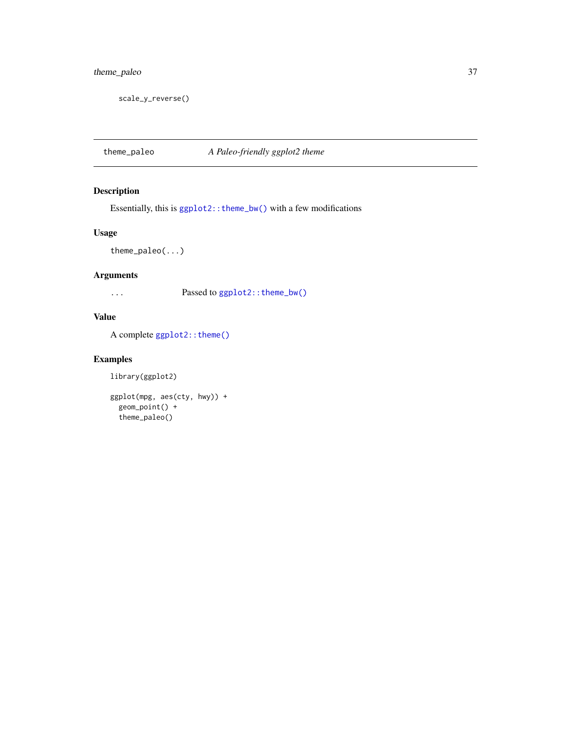#### <span id="page-36-0"></span>theme\_paleo 37

scale\_y\_reverse()

theme\_paleo *A Paleo-friendly ggplot2 theme*

#### Description

Essentially, this is  $ggplot2$ : : theme\_bw() with a few modifications

#### Usage

theme\_paleo(...)

#### Arguments

... Passed to [ggplot2::theme\\_bw\(\)](#page-0-0)

#### Value

A complete [ggplot2::theme\(\)](#page-0-0)

#### Examples

library(ggplot2)

```
ggplot(mpg, aes(cty, hwy)) +
  geom_point() +
  theme_paleo()
```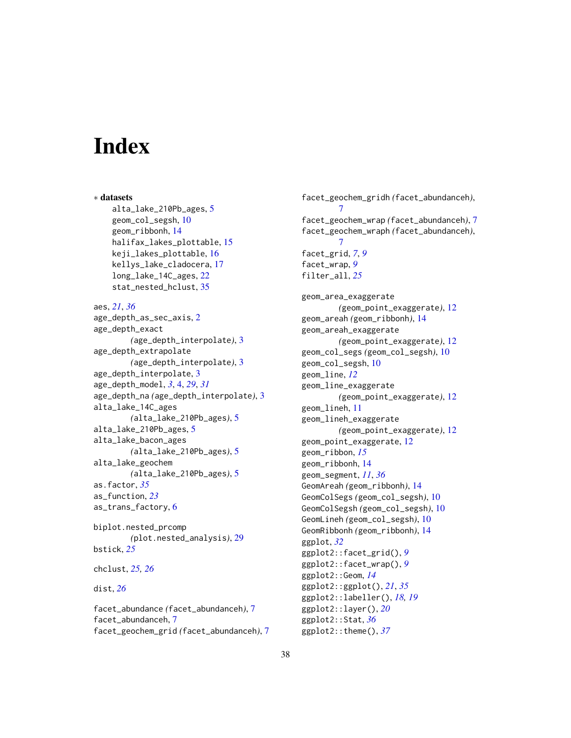# <span id="page-37-0"></span>**Index**

∗ datasets alta\_lake\_210Pb\_ages, [5](#page-4-0) geom\_col\_segsh, [10](#page-9-0) geom\_ribbonh, [14](#page-13-0) halifax\_lakes\_plottable, [15](#page-14-0) keji\_lakes\_plottable, [16](#page-15-0) kellys\_lake\_cladocera, [17](#page-16-0) long\_lake\_14C\_ages, [22](#page-21-0) stat\_nested\_hclust, [35](#page-34-0) aes, *[21](#page-20-0)*, *[36](#page-35-0)* age\_depth\_as\_sec\_axis, [2](#page-1-0) age\_depth\_exact *(*age\_depth\_interpolate*)*, [3](#page-2-0) age\_depth\_extrapolate *(*age\_depth\_interpolate*)*, [3](#page-2-0) age\_depth\_interpolate, [3](#page-2-0) age\_depth\_model, *[3](#page-2-0)*, [4,](#page-3-0) *[29](#page-28-0)*, *[31](#page-30-0)* age\_depth\_na *(*age\_depth\_interpolate*)*, [3](#page-2-0) alta\_lake\_14C\_ages *(*alta\_lake\_210Pb\_ages*)*, [5](#page-4-0) alta\_lake\_210Pb\_ages, [5](#page-4-0) alta\_lake\_bacon\_ages *(*alta\_lake\_210Pb\_ages*)*, [5](#page-4-0) alta\_lake\_geochem *(*alta\_lake\_210Pb\_ages*)*, [5](#page-4-0) as.factor, *[35](#page-34-0)* as\_function, *[23](#page-22-0)* as\_trans\_factory, [6](#page-5-0) biplot.nested\_prcomp *(*plot.nested\_analysis*)*, [29](#page-28-0) bstick, *[25](#page-24-0)* chclust, *[25,](#page-24-0) [26](#page-25-0)* dist, *[26](#page-25-0)*

facet\_abundance *(*facet\_abundanceh*)*, [7](#page-6-0) facet\_abundanceh, [7](#page-6-0) facet\_geochem\_grid *(*facet\_abundanceh*)*, [7](#page-6-0)

facet\_geochem\_gridh *(*facet\_abundanceh*)*, [7](#page-6-0) facet\_geochem\_wrap *(*facet\_abundanceh*)*, [7](#page-6-0) facet\_geochem\_wraph *(*facet\_abundanceh*)*, [7](#page-6-0) facet\_grid, *[7](#page-6-0)*, *[9](#page-8-0)* facet\_wrap, *[9](#page-8-0)* filter\_all, *[25](#page-24-0)* geom\_area\_exaggerate *(*geom\_point\_exaggerate*)*, [12](#page-11-0) geom\_areah *(*geom\_ribbonh*)*, [14](#page-13-0) geom\_areah\_exaggerate *(*geom\_point\_exaggerate*)*, [12](#page-11-0) geom\_col\_segs *(*geom\_col\_segsh*)*, [10](#page-9-0) geom\_col\_segsh, [10](#page-9-0) geom\_line, *[12](#page-11-0)* geom\_line\_exaggerate *(*geom\_point\_exaggerate*)*, [12](#page-11-0) geom\_lineh, [11](#page-10-0) geom\_lineh\_exaggerate *(*geom\_point\_exaggerate*)*, [12](#page-11-0) geom\_point\_exaggerate, [12](#page-11-0) geom\_ribbon, *[15](#page-14-0)* geom\_ribbonh, [14](#page-13-0) geom\_segment, *[11](#page-10-0)*, *[36](#page-35-0)* GeomAreah *(*geom\_ribbonh*)*, [14](#page-13-0) GeomColSegs *(*geom\_col\_segsh*)*, [10](#page-9-0) GeomColSegsh *(*geom\_col\_segsh*)*, [10](#page-9-0) GeomLineh *(*geom\_col\_segsh*)*, [10](#page-9-0) GeomRibbonh *(*geom\_ribbonh*)*, [14](#page-13-0) ggplot, *[32](#page-31-0)* ggplot2::facet\_grid(), *[9](#page-8-0)* ggplot2::facet\_wrap(), *[9](#page-8-0)* ggplot2::Geom, *[14](#page-13-0)* ggplot2::ggplot(), *[21](#page-20-0)*, *[35](#page-34-0)* ggplot2::labeller(), *[18,](#page-17-0) [19](#page-18-0)* ggplot2::layer(), *[20](#page-19-0)* ggplot2::Stat, *[36](#page-35-0)* ggplot2::theme(), *[37](#page-36-0)*